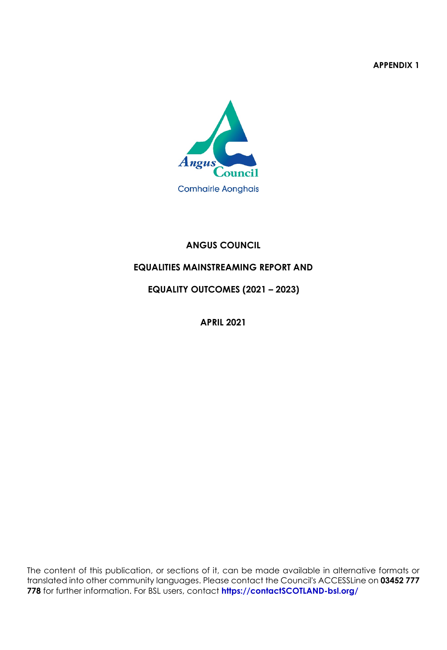**APPENDIX 1**



# **ANGUS COUNCIL**

# **EQUALITIES MAINSTREAMING REPORT AND**

 **EQUALITY OUTCOMES (2021 – 2023)**

**APRIL 2021**

The content of this publication, or sections of it, can be made available in alternative formats or translated into other community languages. Please contact the Council's ACCESSLine on **03452 777 778** for further information. For BSL users, contact **[https://contactSCOTLAND-bsl.org/](https://contactscotland-bsl.org/)**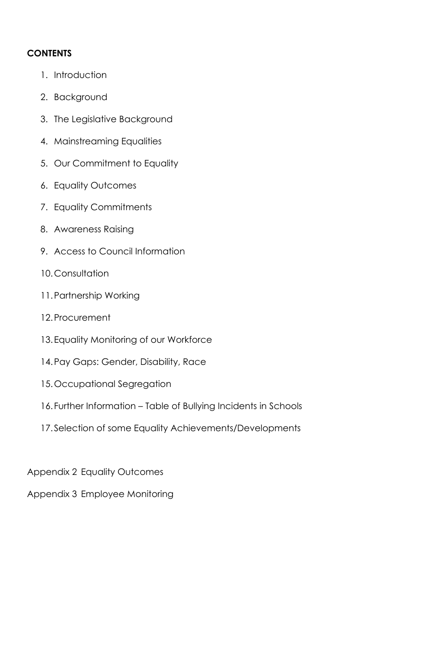# **CONTENTS**

- 1. Introduction
- 2. Background
- 3. The Legislative Background
- 4. Mainstreaming Equalities
- 5. Our Commitment to Equality
- 6. Equality Outcomes
- 7. Equality Commitments
- 8. Awareness Raising
- 9. Access to Council Information
- 10.Consultation
- 11.Partnership Working
- 12.Procurement
- 13.Equality Monitoring of our Workforce
- 14.Pay Gaps: Gender, Disability, Race
- 15.Occupational Segregation
- 16.Further Information Table of Bullying Incidents in Schools
- 17.Selection of some Equality Achievements/Developments

Appendix 2 Equality Outcomes

Appendix 3 Employee Monitoring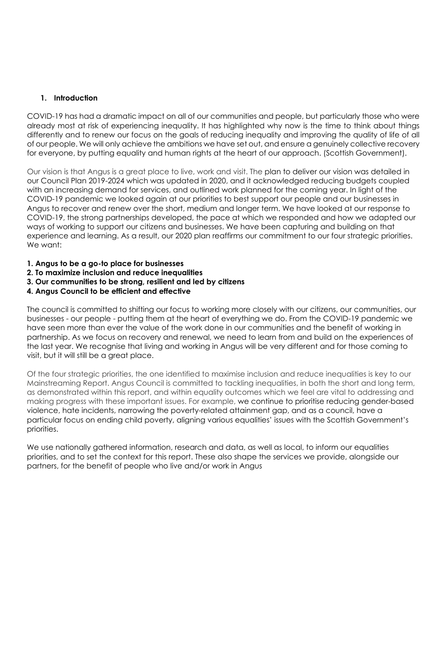### **1. Introduction**

COVID-19 has had a dramatic impact on all of our communities and people, but particularly those who were already most at risk of experiencing inequality. It has highlighted why now is the time to think about things differently and to renew our focus on the goals of reducing inequality and improving the quality of life of all of our people. We will only achieve the ambitions we have set out, and ensure a genuinely collective recovery for everyone, by putting equality and human rights at the heart of our approach. (Scottish Government).

Our vision is that Angus is a great place to live, work and visit. The plan to deliver our vision was detailed in our Council Plan 2019-2024 which was updated in 2020, and it acknowledged reducing budgets coupled with an increasing demand for services, and outlined work planned for the coming year. In light of the COVID-19 pandemic we looked again at our priorities to best support our people and our businesses in Angus to recover and renew over the short, medium and longer term. We have looked at our response to COVID-19, the strong partnerships developed, the pace at which we responded and how we adapted our ways of working to support our citizens and businesses. We have been capturing and building on that experience and learning. As a result, our 2020 plan reaffirms our commitment to our four strategic priorities. We want:

- **1. Angus to be a go-to place for businesses**
- **2. To maximize inclusion and reduce inequalities**
- **3. Our communities to be strong, resilient and led by citizens**
- **4. Angus Council to be efficient and effective**

The council is committed to shifting our focus to working more closely with our citizens, our communities, our businesses - our people - putting them at the heart of everything we do. From the COVID-19 pandemic we have seen more than ever the value of the work done in our communities and the benefit of working in partnership. As we focus on recovery and renewal, we need to learn from and build on the experiences of the last year. We recognise that living and working in Angus will be very different and for those coming to visit, but it will still be a great place.

Of the four strategic priorities, the one identified to maximise inclusion and reduce inequalities is key to our Mainstreaming Report. Angus Council is committed to tackling inequalities, in both the short and long term, as demonstrated within this report, and within equality outcomes which we feel are vital to addressing and making progress with these important issues. For example, we continue to prioritise reducing gender-based violence, hate incidents, narrowing the poverty-related attainment gap, and as a council, have a particular focus on ending child poverty, aligning various equalities' issues with the Scottish Government's priorities.

We use nationally gathered information, research and data, as well as local, to inform our equalities priorities, and to set the context for this report. These also shape the services we provide, alongside our partners, for the benefit of people who live and/or work in Angus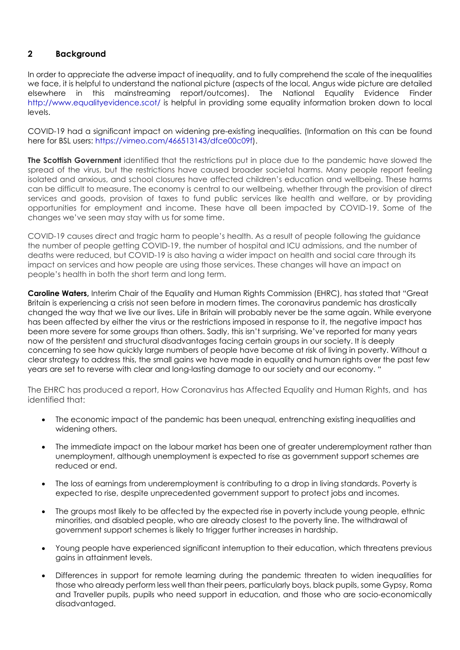# **2 Background**

In order to appreciate the adverse impact of inequality, and to fully comprehend the scale of the inequalities we face, it is helpful to understand the national picture (aspects of the local, Angus wide picture are detailed elsewhere in this mainstreaming report/outcomes). The National Equality Evidence Finder <http://www.equalityevidence.scot/> is helpful in providing some equality information broken down to local levels.

COVID-19 had a significant impact on widening pre-existing inequalities. (Information on this can be found here for BSL users: https://vimeo.com/466513143/dfce00c09fl.

**The Scottish Government** identified that the restrictions put in place due to the pandemic have slowed the spread of the virus, but the restrictions have caused broader societal harms. Many people report feeling isolated and anxious, and school closures have affected children's education and wellbeing. These harms can be difficult to measure. The economy is central to our wellbeing, whether through the provision of direct services and goods, provision of taxes to fund public services like health and welfare, or by providing opportunities for employment and income. These have all been impacted by COVID-19. Some of the changes we've seen may stay with us for some time.

COVID-19 causes direct and tragic harm to people's health. As a result of people following the guidance the number of people getting COVID-19, the number of hospital and ICU admissions, and the number of deaths were reduced, but COVID-19 is also having a wider impact on health and social care through its impact on services and how people are using those services. These changes will have an impact on people's health in both the short term and long term.

**Caroline Waters,** Interim Chair of the Equality and Human Rights Commission (EHRC), has stated that "Great Britain is experiencing a crisis not seen before in modern times. The coronavirus pandemic has drastically changed the way that we live our lives. Life in Britain will probably never be the same again. While everyone has been affected by either the virus or the restrictions imposed in response to it, the negative impact has been more severe for some groups than others. Sadly, this isn't surprising. We've reported for many years now of the persistent and structural disadvantages facing certain groups in our society. It is deeply concerning to see how quickly large numbers of people have become at risk of living in poverty. Without a clear strategy to address this, the small gains we have made in equality and human rights over the past few years are set to reverse with clear and long-lasting damage to our society and our economy. "

The EHRC has produced a report, How Coronavirus has Affected Equality and Human Rights, and has identified that:

- The economic impact of the pandemic has been unequal, entrenching existing inequalities and widening others.
- The immediate impact on the labour market has been one of greater underemployment rather than unemployment, although unemployment is expected to rise as government support schemes are reduced or end.
- The loss of earnings from underemployment is contributing to a drop in living standards. Poverty is expected to rise, despite unprecedented government support to protect jobs and incomes.
- The groups most likely to be affected by the expected rise in poverty include young people, ethnic minorities, and disabled people, who are already closest to the poverty line. The withdrawal of government support schemes is likely to trigger further increases in hardship.
- Young people have experienced significant interruption to their education, which threatens previous gains in attainment levels.
- Differences in support for remote learning during the pandemic threaten to widen inequalities for those who already perform less well than their peers, particularly boys, black pupils, some Gypsy, Roma and Traveller pupils, pupils who need support in education, and those who are socio-economically disadvantaged.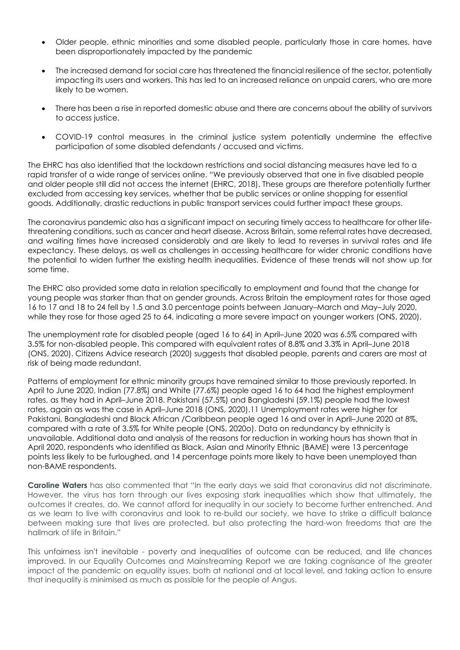- Older people, ethnic minorities and some disabled people, particularly those in care homes, have been disproportionately impacted by the pandemic
- The increased demand for social care has threatened the financial resilience of the sector, potentially impacting its users and workers. This has led to an increased reliance on unpaid carers, who are more likely to be women.
- There has been a rise in reported domestic abuse and there are concerns about the ability of survivors to access justice.
- COVID-19 control measures in the criminal justice system potentially undermine the effective participation of some disabled defendants / accused and victims.

The EHRC has also identified that the lockdown restrictions and social distancing measures have led to a rapid transfer of a wide range of services online. "We previously observed that one in five disabled people and older people still did not access the internet (EHRC, 2018). These groups are therefore potentially further excluded from accessing key services, whether that be public services or online shopping for essential goods. Additionally, drastic reductions in public transport services could further impact these groups.

The coronavirus pandemic also has a significant impact on securing timely access to healthcare for other lifethreatening conditions, such as cancer and heart disease. Across Britain, some referral rates have decreased, and waiting times have increased considerably and are likely to lead to reverses in survival rates and life expectancy. These delays, as well as challenges in accessing healthcare for wider chronic conditions have the potential to widen further the existing health inequalities. Evidence of these trends will not show up for some time.

The EHRC also provided some data in relation specifically to employment and found that the change for young people was starker than that on gender grounds. Across Britain the employment rates for those aged 16 to 17 and 18 to 24 fell by 1.5 and 3.0 percentage points between January–March and May–July 2020, while they rose for those aged 25 to 64, indicating a more severe impact on younger workers (ONS, 2020).

The unemployment rate for disabled people (aged 16 to 64) in April–June 2020 was 6.5% compared with 3.5% for non-disabled people. This compared with equivalent rates of 8.8% and 3.3% in April–June 2018 (ONS, 2020). Citizens Advice research (2020) suggests that disabled people, parents and carers are most at risk of being made redundant.

Patterns of employment for ethnic minority groups have remained similar to those previously reported. In April to June 2020, Indian (77.8%) and White (77.6%) people aged 16 to 64 had the highest employment rates, as they had in April–June 2018. Pakistani (57.5%) and Bangladeshi (59.1%) people had the lowest rates, again as was the case in April–June 2018 (ONS, 2020).11 Unemployment rates were higher for Pakistani, Bangladeshi and Black African /Caribbean people aged 16 and over in April–June 2020 at 8%, compared with a rate of 3.5% for White people (ONS, 2020o). Data on redundancy by ethnicity is unavailable. Additional data and analysis of the reasons for reduction in working hours has shown that in April 2020, respondents who identified as Black, Asian and Minority Ethnic (BAME) were 13 percentage points less likely to be furloughed, and 14 percentage points more likely to have been unemployed than non-BAME respondents.

**Caroline Waters** has also commented that "In the early days we said that coronavirus did not discriminate. However, the virus has torn through our lives exposing stark inequalities which show that ultimately, the outcomes it creates, do. We cannot afford for inequality in our society to become further entrenched. And as we learn to live with coronavirus and look to re-build our society, we have to strike a difficult balance between making sure that lives are protected, but also protecting the hard-won freedoms that are the hallmark of life in Britain."

This unfairness isn't inevitable - poverty and inequalities of outcome can be reduced, and life chances improved. In our Equality Outcomes and Mainstreaming Report we are taking cognisance of the greater impact of the pandemic on equality issues, both at national and at local level, and taking action to ensure that inequality is minimised as much as possible for the people of Angus.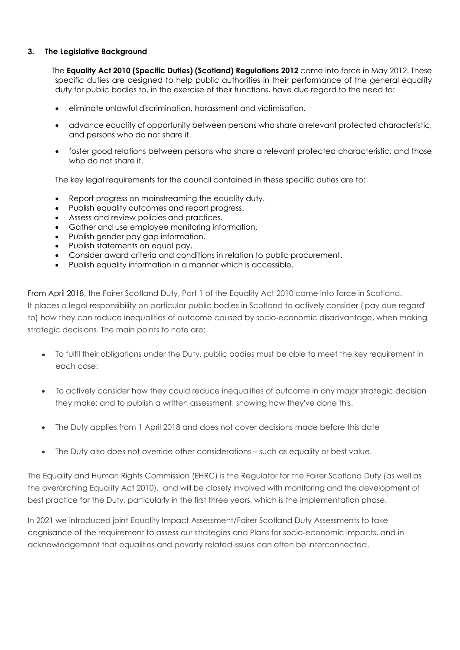### **3. The Legislative Background**

The **Equality Act 2010 (Specific Duties) (Scotland) Regulations 2012** came into force in May 2012. These specific duties are designed to help public authorities in their performance of the general equality duty for public bodies to, in the exercise of their functions, have due regard to the need to:

- eliminate unlawful discrimination, harassment and victimisation.
- advance equality of opportunity between persons who share a relevant protected characteristic, and persons who do not share it.
- foster good relations between persons who share a relevant protected characteristic, and those who do not share it.

The key legal requirements for the council contained in these specific duties are to:

- Report progress on mainstreaming the equality duty.
- Publish equality outcomes and report progress.
- Assess and review policies and practices.
- Gather and use employee monitoring information.
- Publish gender pay gap information.
- Publish statements on equal pay.
- Consider award criteria and conditions in relation to public procurement.
- Publish equality information in a manner which is accessible.

From April 2018, the Fairer Scotland Duty, Part 1 of the Equality Act 2010 came into force in Scotland. It places a legal responsibility on particular public bodies in Scotland to actively consider ('pay due regard' to) how they can reduce inequalities of outcome caused by socio-economic disadvantage, when making strategic decisions. The main points to note are:

- To fulfil their obligations under the Duty, public bodies must be able to meet the key requirement in each case:
- To actively consider how they could reduce inequalities of outcome in any major strategic decision they make; and to publish a written assessment, showing how they've done this.
- The Duty applies from 1 April 2018 and does not cover decisions made before this date
- The Duty also does not override other considerations such as equality or best value.

The Equality and Human Rights Commission (EHRC) is the Regulator for the Fairer Scotland Duty (as well as the overarching Equality Act 2010), and will be closely involved with monitoring and the development of best practice for the Duty, particularly in the first three years, which is the implementation phase.

In 2021 we introduced joint Equality Impact Assessment/Fairer Scotland Duty Assessments to take cognisance of the requirement to assess our strategies and Plans for socio-economic impacts, and in acknowledgement that equalities and poverty related issues can often be interconnected.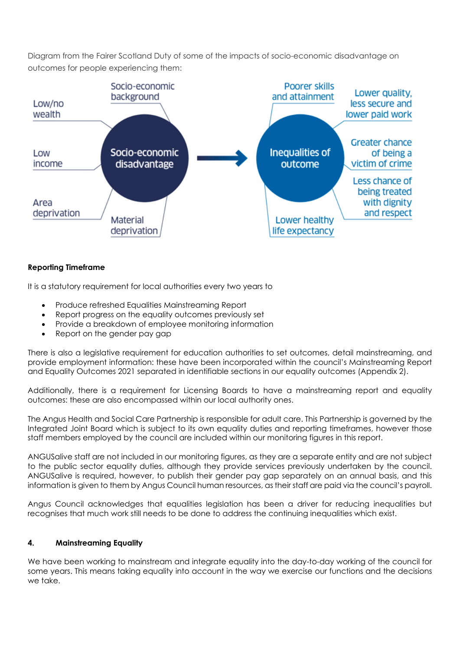Diagram from the Fairer Scotland Duty of some of the impacts of socio-economic disadvantage on outcomes for people experiencing them:



### **Reporting Timeframe**

It is a statutory requirement for local authorities every two years to

- Produce refreshed Equalities Mainstreaming Report
- Report progress on the equality outcomes previously set
- Provide a breakdown of employee monitoring information
- Report on the gender pay gap

There is also a legislative requirement for education authorities to set outcomes, detail mainstreaming, and provide employment information: these have been incorporated within the council's Mainstreaming Report and Equality Outcomes 2021 separated in identifiable sections in our equality outcomes (Appendix 2).

Additionally, there is a requirement for Licensing Boards to have a mainstreaming report and equality outcomes: these are also encompassed within our local authority ones.

The Angus Health and Social Care Partnership is responsible for adult care. This Partnership is governed by the Integrated Joint Board which is subject to its own equality duties and reporting timeframes, however those staff members employed by the council are included within our monitoring figures in this report.

ANGUSalive staff are not included in our monitoring figures, as they are a separate entity and are not subject to the public sector equality duties, although they provide services previously undertaken by the council. ANGUSalive is required, however, to publish their gender pay gap separately on an annual basis, and this information is given to them by Angus Council human resources, as their staff are paid via the council's payroll.

Angus Council acknowledges that equalities legislation has been a driver for reducing inequalities but recognises that much work still needs to be done to address the continuing inequalities which exist.

# **4. Mainstreaming Equality**

We have been working to mainstream and integrate equality into the day-to-day working of the council for some years. This means taking equality into account in the way we exercise our functions and the decisions we take.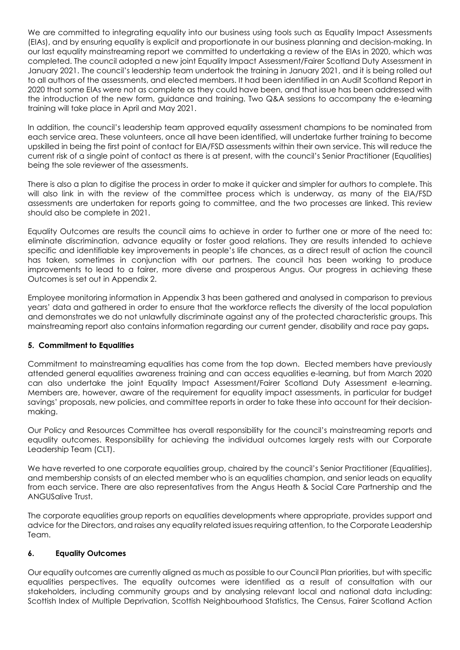We are committed to integrating equality into our business using tools such as Equality Impact Assessments (EIAs), and by ensuring equality is explicit and proportionate in our business planning and decision-making. In our last equality mainstreaming report we committed to undertaking a review of the EIAs in 2020, which was completed. The council adopted a new joint Equality Impact Assessment/Fairer Scotland Duty Assessment in January 2021. The council's leadership team undertook the training in January 2021, and it is being rolled out to all authors of the assessments, and elected members. It had been identified in an Audit Scotland Report in 2020 that some EIAs were not as complete as they could have been, and that issue has been addressed with the introduction of the new form, guidance and training. Two Q&A sessions to accompany the e-learning training will take place in April and May 2021.

In addition, the council's leadership team approved equality assessment champions to be nominated from each service area. These volunteers, once all have been identified, will undertake further training to become upskilled in being the first point of contact for EIA/FSD assessments within their own service. This will reduce the current risk of a single point of contact as there is at present, with the council's Senior Practitioner (Equalities) being the sole reviewer of the assessments.

There is also a plan to digitise the process in order to make it quicker and simpler for authors to complete. This will also link in with the review of the committee process which is underway, as many of the EIA/FSD assessments are undertaken for reports going to committee, and the two processes are linked. This review should also be complete in 2021.

Equality Outcomes are results the council aims to achieve in order to further one or more of the need to: eliminate discrimination, advance equality or foster good relations. They are results intended to achieve specific and identifiable key improvements in people's life chances, as a direct result of action the council has taken, sometimes in conjunction with our partners. The council has been working to produce improvements to lead to a fairer, more diverse and prosperous Angus. Our progress in achieving these Outcomes is set out in Appendix 2.

Employee monitoring information in Appendix 3 has been gathered and analysed in comparison to previous years' data and gathered in order to ensure that the workforce reflects the diversity of the local population and demonstrates we do not unlawfully discriminate against any of the protected characteristic groups. This mainstreaming report also contains information regarding our current gender, disability and race pay gaps**.**

# **5. Commitment to Equalities**

Commitment to mainstreaming equalities has come from the top down. Elected members have previously attended general equalities awareness training and can access equalities e-learning, but from March 2020 can also undertake the joint Equality Impact Assessment/Fairer Scotland Duty Assessment e-learning. Members are, however, aware of the requirement for equality impact assessments, in particular for budget savings' proposals, new policies, and committee reports in order to take these into account for their decisionmaking.

Our Policy and Resources Committee has overall responsibility for the council's mainstreaming reports and equality outcomes. Responsibility for achieving the individual outcomes largely rests with our Corporate Leadership Team (CLT).

We have reverted to one corporate equalities group, chaired by the council's Senior Practitioner (Equalities), and membership consists of an elected member who is an equalities champion, and senior leads on equality from each service. There are also representatives from the Angus Heath & Social Care Partnership and the ANGUSalive Trust.

The corporate equalities group reports on equalities developments where appropriate, provides support and advice for the Directors, and raises any equality related issues requiring attention, to the Corporate Leadership Team.

# **6. Equality Outcomes**

Our equality outcomes are currently aligned as much as possible to our Council Plan priorities, but with specific equalities perspectives. The equality outcomes were identified as a result of consultation with our stakeholders, including community groups and by analysing relevant local and national data including: Scottish Index of Multiple Deprivation, Scottish Neighbourhood Statistics, The Census, Fairer Scotland Action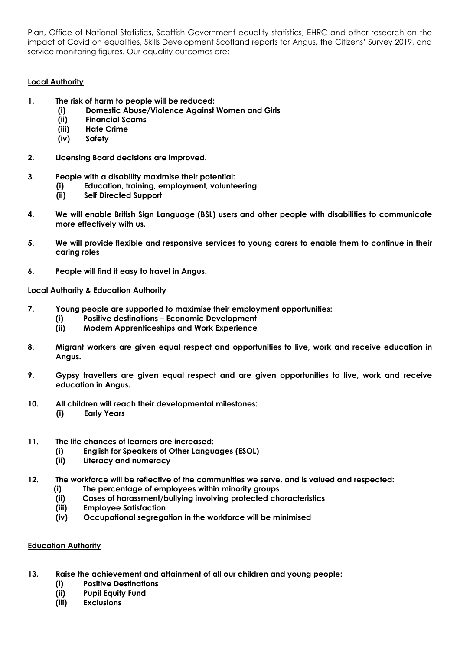Plan, Office of National Statistics, Scottish Government equality statistics, EHRC and other research on the impact of Covid on equalities, Skills Development Scotland reports for Angus, the Citizens' Survey 2019, and service monitoring figures. Our equality outcomes are:

# **Local Authority**

- **1. The risk of harm to people will be reduced:**
	- **(i) Domestic Abuse/Violence Against Women and Girls**
	- **(ii) Financial Scams**
	- **(iii) Hate Crime**
	- **(iv) Safety**
- **2. Licensing Board decisions are improved.**
- **3. People with a disability maximise their potential:**
	- **(i) Education, training, employment, volunteering**
	- **(ii) Self Directed Support**
- **4. We will enable British Sign Language (BSL) users and other people with disabilities to communicate more effectively with us.**
- **5. We will provide flexible and responsive services to young carers to enable them to continue in their caring roles**
- **6. People will find it easy to travel in Angus.**

### **Local Authority & Education Authority**

- **7. Young people are supported to maximise their employment opportunities:** 
	- **(i) Positive destinations – Economic Development**
	- **(ii) Modern Apprenticeships and Work Experience**
- **8. Migrant workers are given equal respect and opportunities to live, work and receive education in Angus.**
- **9. Gypsy travellers are given equal respect and are given opportunities to live, work and receive education in Angus.**
- **10. All children will reach their developmental milestones:** 
	- **(i) Early Years**
- **11. The life chances of learners are increased:** 
	- **(i) English for Speakers of Other Languages (ESOL)**
	- **(ii) Literacy and numeracy**
- **12. The workforce will be reflective of the communities we serve, and is valued and respected:** 
	- **(i) The percentage of employees within minority groups**
	- **(ii) Cases of harassment/bullying involving protected characteristics**
	- **(iii) Employee Satisfaction**
	- **(iv) Occupational segregation in the workforce will be minimised**

### **Education Authority**

- **13. Raise the achievement and attainment of all our children and young people:** 
	- **(i) Positive Destinations**
	- **(ii) Pupil Equity Fund**
	- **(iii) Exclusions**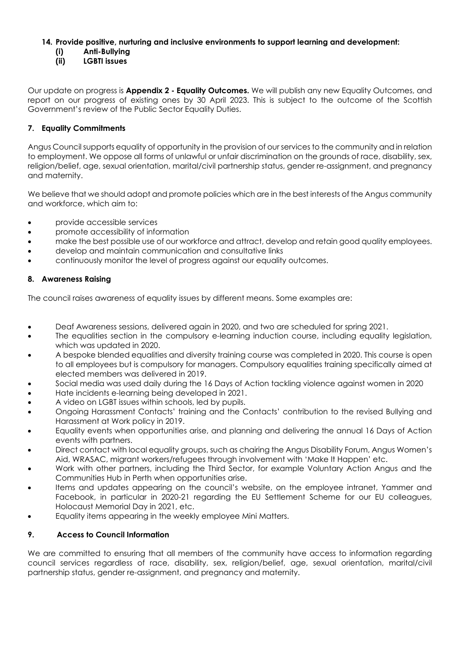# **14. Provide positive, nurturing and inclusive environments to support learning and development:**

- **(i) Anti-Bullying**
- **(ii) LGBTI issues**

Our update on progress is **Appendix 2 - Equality Outcomes.** We will publish any new Equality Outcomes, and report on our progress of existing ones by 30 April 2023. This is subject to the outcome of the Scottish Government's review of the Public Sector Equality Duties.

# **7. Equality Commitments**

Angus Council supports equality of opportunity in the provision of our services to the community and in relation to employment. We oppose all forms of unlawful or unfair discrimination on the grounds of race, disability, sex, religion/belief, age, sexual orientation, marital/civil partnership status, gender re-assignment, and pregnancy and maternity.

We believe that we should adopt and promote policies which are in the best interests of the Angus community and workforce, which aim to:

- provide accessible services
- promote accessibility of information
- make the best possible use of our workforce and attract, develop and retain good quality employees.
- develop and maintain communication and consultative links
- continuously monitor the level of progress against our equality outcomes.

# **8. Awareness Raising**

The council raises awareness of equality issues by different means. Some examples are:

- Deaf Awareness sessions, delivered again in 2020, and two are scheduled for spring 2021.
- The equalities section in the compulsory e-learning induction course, including equality legislation, which was updated in 2020.
- A bespoke blended equalities and diversity training course was completed in 2020. This course is open to all employees but is compulsory for managers. Compulsory equalities training specifically aimed at elected members was delivered in 2019.
- Social media was used daily during the 16 Days of Action tackling violence against women in 2020
- Hate incidents e-learning being developed in 2021.
- A video on LGBT issues within schools, led by pupils.
- Ongoing Harassment Contacts' training and the Contacts' contribution to the revised Bullying and Harassment at Work policy in 2019.
- Equality events when opportunities arise, and planning and delivering the annual 16 Days of Action events with partners.
- Direct contact with local equality groups, such as chairing the Angus Disability Forum, Angus Women's Aid, WRASAC, migrant workers/refugees through involvement with 'Make It Happen' etc.
- Work with other partners, including the Third Sector, for example Voluntary Action Angus and the Communities Hub in Perth when opportunities arise.
- Items and updates appearing on the council's website, on the employee intranet, Yammer and Facebook, in particular in 2020-21 regarding the EU Settlement Scheme for our EU colleagues, Holocaust Memorial Day in 2021, etc.
- Equality items appearing in the weekly employee Mini Matters.

# **9. Access to Council Information**

We are committed to ensuring that all members of the community have access to information regarding council services regardless of race, disability, sex, religion/belief, age, sexual orientation, marital/civil partnership status, gender re-assignment, and pregnancy and maternity.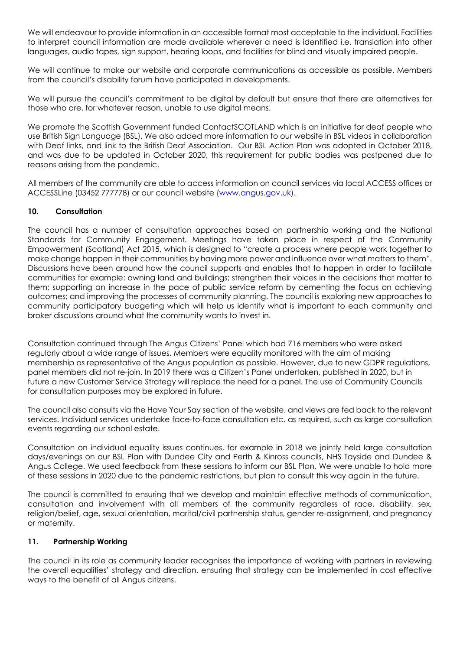We will endeavour to provide information in an accessible format most acceptable to the individual. Facilities to interpret council information are made available wherever a need is identified i.e. translation into other languages, audio tapes, sign support, hearing loops, and facilities for blind and visually impaired people.

We will continue to make our website and corporate communications as accessible as possible. Members from the council's disability forum have participated in developments.

We will pursue the council's commitment to be digital by default but ensure that there are alternatives for those who are, for whatever reason, unable to use digital means.

We promote the Scottish Government funded ContactSCOTLAND which is an initiative for deaf people who use British Sign Language (BSL). We also added more information to our website in BSL videos in collaboration with Deaf links, and link to the British Deaf Association. Our BSL Action Plan was adopted in October 2018, and was due to be updated in October 2020, this requirement for public bodies was postponed due to reasons arising from the pandemic.

All members of the community are able to access information on council services via local ACCESS offices or ACCESSLine (03452 777778) or our council website [\(www.angus.gov.uk\)](http://www.angus.gov.uk/).

### **10. Consultation**

The council has a number of consultation approaches based on partnership working and the National Standards for Community Engagement. Meetings have taken place in respect of the Community Empowerment (Scotland) Act 2015, which is designed to "create a process where people work together to make change happen in their communities by having more power and influence over what matters to them". Discussions have been around how the council supports and enables that to happen in order to facilitate communities for example: owning land and buildings; strengthen their voices in the decisions that matter to them; supporting an increase in the pace of public service reform by cementing the focus on achieving outcomes; and improving the processes of community planning. The council is exploring new approaches to community participatory budgeting which will help us identify what is important to each community and broker discussions around what the community wants to invest in.

Consultation continued through The Angus Citizens' Panel which had 716 members who were asked regularly about a wide range of issues. Members were equality monitored with the aim of making membership as representative of the Angus population as possible. However, due to new GDPR regulations, panel members did not re-join. In 2019 there was a Citizen's Panel undertaken, published in 2020, but in future a new Customer Service Strategy will replace the need for a panel. The use of Community Councils for consultation purposes may be explored in future.

The council also consults via the Have Your Say section of the website, and views are fed back to the relevant services. Individual services undertake face-to-face consultation etc. as required, such as large consultation events regarding our school estate.

Consultation on individual equality issues continues, for example in 2018 we jointly held large consultation days/evenings on our BSL Plan with Dundee City and Perth & Kinross councils, NHS Tayside and Dundee & Angus College. We used feedback from these sessions to inform our BSL Plan. We were unable to hold more of these sessions in 2020 due to the pandemic restrictions, but plan to consult this way again in the future.

The council is committed to ensuring that we develop and maintain effective methods of communication, consultation and involvement with all members of the community regardless of race, disability, sex, religion/belief, age, sexual orientation, marital/civil partnership status, gender re-assignment, and pregnancy or maternity.

# **11. Partnership Working**

The council in its role as community leader recognises the importance of working with partners in reviewing the overall equalities' strategy and direction, ensuring that strategy can be implemented in cost effective ways to the benefit of all Angus citizens.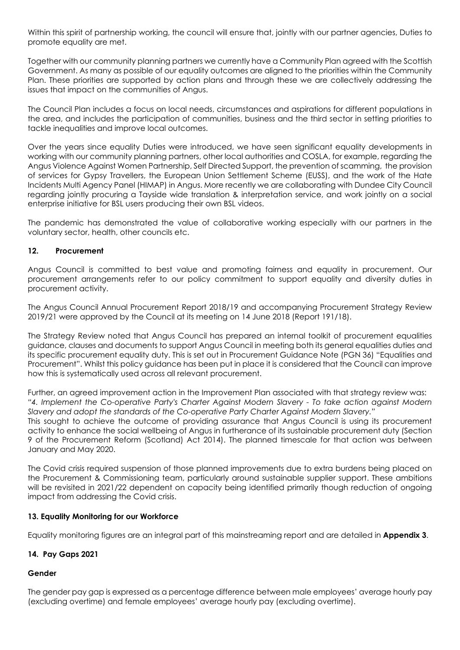Within this spirit of partnership working, the council will ensure that, jointly with our partner agencies, Duties to promote equality are met.

Together with our community planning partners we currently have a Community Plan agreed with the Scottish Government. As many as possible of our equality outcomes are aligned to the priorities within the Community Plan. These priorities are supported by action plans and through these we are collectively addressing the issues that impact on the communities of Angus.

The Council Plan includes a focus on local needs, circumstances and aspirations for different populations in the area, and includes the participation of communities, business and the third sector in setting priorities to tackle inequalities and improve local outcomes.

Over the years since equality Duties were introduced, we have seen significant equality developments in working with our community planning partners, other local authorities and COSLA, for example, regarding the Angus Violence Against Women Partnership, Self Directed Support, the prevention of scamming, the provision of services for Gypsy Travellers, the European Union Settlement Scheme (EUSS), and the work of the Hate Incidents Multi Agency Panel (HIMAP) in Angus. More recently we are collaborating with Dundee City Council regarding jointly procuring a Tayside wide translation & interpretation service, and work jointly on a social enterprise initiative for BSL users producing their own BSL videos.

The pandemic has demonstrated the value of collaborative working especially with our partners in the voluntary sector, health, other councils etc.

# **12. Procurement**

Angus Council is committed to best value and promoting fairness and equality in procurement. Our procurement arrangements refer to our policy commitment to support equality and diversity duties in procurement activity.

The Angus Council Annual Procurement Report 2018/19 and accompanying Procurement Strategy Review 2019/21 were approved by the Council at its meeting on 14 June 2018 (Report 191/18).

The Strategy Review noted that Angus Council has prepared an internal toolkit of procurement equalities guidance, clauses and documents to support Angus Council in meeting both its general equalities duties and its specific procurement equality duty. This is set out in Procurement Guidance Note (PGN 36) "Equalities and Procurement". Whilst this policy guidance has been put in place it is considered that the Council can improve how this is systematically used across all relevant procurement.

Further, an agreed improvement action in the Improvement Plan associated with that strategy review was: *"4. Implement the Co-operative Party's Charter Against Modern Slavery - To take action against Modern Slavery and adopt the standards of the Co-operative Party Charter Against Modern Slavery."*  This sought to achieve the outcome of providing assurance that Angus Council is using its procurement activity to enhance the social wellbeing of Angus in furtherance of its sustainable procurement duty (Section 9 of the Procurement Reform (Scotland) Act 2014). The planned timescale for that action was between January and May 2020.

The Covid crisis required suspension of those planned improvements due to extra burdens being placed on the Procurement & Commissioning team, particularly around sustainable supplier support. These ambitions will be revisited in 2021/22 dependent on capacity being identified primarily though reduction of ongoing impact from addressing the Covid crisis.

### **13. Equality Monitoring for our Workforce**

Equality monitoring figures are an integral part of this mainstreaming report and are detailed in **Appendix 3**.

# **14. Pay Gaps 2021**

### **Gender**

The gender pay gap is expressed as a percentage difference between male employees' average hourly pay (excluding overtime) and female employees' average hourly pay (excluding overtime).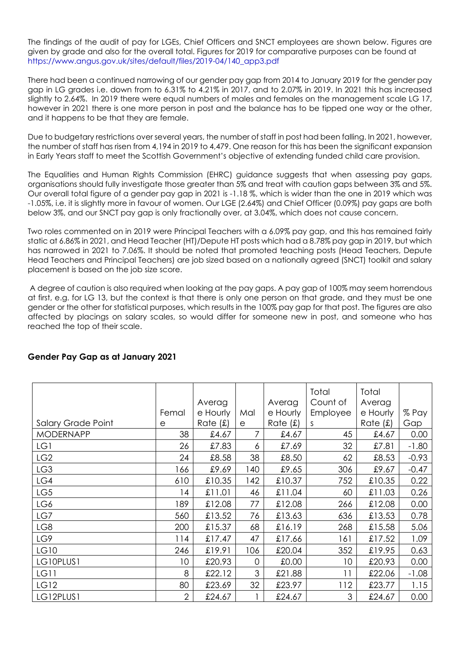The findings of the audit of pay for LGEs, Chief Officers and SNCT employees are shown below. Figures are given by grade and also for the overall total. Figures for 2019 for comparative purposes can be found at [https://www.angus.gov.uk/sites/default/files/2019-04/140\\_app3.pdf](https://www.angus.gov.uk/sites/default/files/2019-04/140_app3.pdf)

There had been a continued narrowing of our gender pay gap from 2014 to January 2019 for the gender pay gap in LG grades i.e. down from to 6.31% to 4.21% in 2017, and to 2.07% in 2019. In 2021 this has increased slightly to 2.64%. In 2019 there were equal numbers of males and females on the management scale LG 17, however in 2021 there is one more person in post and the balance has to be tipped one way or the other, and it happens to be that they are female.

Due to budgetary restrictions over several years, the number of staff in post had been falling. In 2021, however, the number of staff has risen from 4,194 in 2019 to 4,479. One reason for this has been the significant expansion in Early Years staff to meet the Scottish Government's objective of extending funded child care provision.

The Equalities and Human Rights Commission (EHRC) guidance suggests that when assessing pay gaps, organisations should fully investigate those greater than 5% and treat with caution gaps between 3% and 5%. Our overall total figure of a gender pay gap in 2021 is -1.18 %, which is wider than the one in 2019 which was -1.05%, i.e. it is slightly more in favour of women. Our LGE (2.64%) and Chief Officer (0.09%) pay gaps are both below 3%, and our SNCT pay gap is only fractionally over, at 3.04%, which does not cause concern.

Two roles commented on in 2019 were Principal Teachers with a 6.09% pay gap, and this has remained fairly static at 6.86% in 2021, and Head Teacher (HT)/Depute HT posts which had a 8.78% pay gap in 2019, but which has narrowed in 2021 to 7.06%. It should be noted that promoted teaching posts (Head Teachers, Depute Head Teachers and Principal Teachers) are job sized based on a nationally agreed (SNCT) toolkit and salary placement is based on the job size score.

A degree of caution is also required when looking at the pay gaps. A pay gap of 100% may seem horrendous at first, e.g. for LG 13, but the context is that there is only one person on that grade, and they must be one gender or the other for statistical purposes, which results in the 100% pay gap for that post. The figures are also affected by placings on salary scales, so would differ for someone new in post, and someone who has reached the top of their scale.

|                           |                 |          |     |          | Total    | Total      |         |
|---------------------------|-----------------|----------|-----|----------|----------|------------|---------|
|                           |                 | Averag   |     | Averag   | Count of | Averag     |         |
|                           | Femal           | e Hourly | Mal | e Hourly | Employee | e Hourly   | % Pay   |
| <b>Salary Grade Point</b> | е               | Rate(f)  | e   | Rate(f)  | S        | Rate $(f)$ | Gap     |
| <b>MODERNAPP</b>          | 38              | £4.67    |     | £4.67    | 45       | £4.67      | 0.00    |
| LG1                       | 26              | £7.83    | 6   | £7.69    | 32       | £7.81      | $-1.80$ |
| LG <sub>2</sub>           | 24              | £8.58    | 38  | £8.50    | 62       | £8.53      | $-0.93$ |
| LG3                       | 166             | £9.69    | 140 | £9.65    | 306      | £9.67      | $-0.47$ |
| LG4                       | 610             | £10.35   | 142 | £10.37   | 752      | £10.35     | 0.22    |
| LG5                       | 14              | £11.01   | 46  | £11.04   | 60       | £11.03     | 0.26    |
| LG6                       | 189             | £12.08   | 77  | £12.08   | 266      | £12.08     | 0.00    |
| LG7                       | 560             | £13.52   | 76  | £13.63   | 636      | £13.53     | 0.78    |
| LG8                       | 200             | £15.37   | 68  | £16.19   | 268      | £15.58     | 5.06    |
| LG9                       | 114             | £17.47   | 47  | £17.66   | 161      | £17.52     | 1.09    |
| LG10                      | 246             | £19.91   | 106 | £20.04   | 352      | £19.95     | 0.63    |
| LG10PLUS1                 | 10 <sup>°</sup> | £20.93   | 0   | £0.00    | 10       | £20.93     | 0.00    |
| <b>LG11</b>               | 8               | £22.12   | 3   | £21.88   | 11       | £22.06     | $-1.08$ |
| <b>LG12</b>               | 80              | £23.69   | 32  | £23.97   | 112      | £23.77     | 1.15    |
| LG12PLUS1                 | $\overline{2}$  | £24.67   |     | £24.67   | 3        | £24.67     | 0.00    |

# **Gender Pay Gap as at January 2021**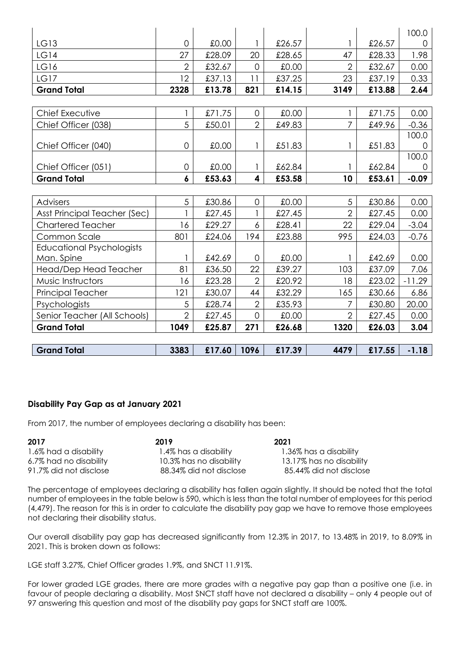|                                  |                  |        |                |        |                |        | 100.0    |
|----------------------------------|------------------|--------|----------------|--------|----------------|--------|----------|
| LG13                             | $\overline{0}$   | £0.00  |                | £26.57 |                | £26.57 | 0        |
| <b>LG14</b>                      | 27               | £28.09 | 20             | £28.65 | 47             | £28.33 | 1.98     |
| LG16                             | $\overline{2}$   | £32.67 | $\overline{0}$ | 0.00   | $\overline{2}$ | £32.67 | 0.00     |
| <b>LG17</b>                      | 12               | £37.13 | 11             | £37.25 | 23             | £37.19 | 0.33     |
| <b>Grand Total</b>               | 2328             | £13.78 | 821            | £14.15 | 3149           | £13.88 | 2.64     |
|                                  |                  |        |                |        |                |        |          |
| Chief Executive                  |                  | £71.75 | $\overline{0}$ | £0.00  |                | £71.75 | 0.00     |
| Chief Officer (038)              | 5                | £50.01 | $\overline{2}$ | £49.83 | 7              | £49.96 | $-0.36$  |
|                                  |                  |        |                |        |                |        | 100.0    |
| Chief Officer (040)              | $\overline{0}$   | £0.00  |                | £51.83 |                | £51.83 |          |
|                                  |                  |        |                |        |                |        | 100.0    |
| Chief Officer (051)              | $\mathbf 0$      | £0.00  |                | £62.84 |                | £62.84 | O        |
| <b>Grand Total</b>               | $\boldsymbol{6}$ | £53.63 | 4              | £53.58 | 10             | £53.61 | $-0.09$  |
|                                  |                  |        |                |        |                |        |          |
| <b>Advisers</b>                  | 5                | £30.86 | 0              | £0.00  | 5              | £30.86 | 0.00     |
| Asst Principal Teacher (Sec)     |                  | £27.45 |                | £27.45 | $\overline{2}$ | £27.45 | 0.00     |
| <b>Chartered Teacher</b>         | 16               | £29.27 | 6              | £28.41 | 22             | £29.04 | $-3.04$  |
| Common Scale                     | 801              | £24.06 | 194            | £23.88 | 995            | £24.03 | $-0.76$  |
| <b>Educational Psychologists</b> |                  |        |                |        |                |        |          |
| Man. Spine                       |                  | £42.69 | $\overline{0}$ | £0.00  |                | £42.69 | 0.00     |
| Head/Dep Head Teacher            | 81               | £36.50 | 22             | £39.27 | 103            | £37.09 | 7.06     |
| Music Instructors                | 16               | £23.28 | $\overline{2}$ | £20.92 | 18             | £23.02 | $-11.29$ |
| <b>Principal Teacher</b>         | 121              | £30.07 | 44             | £32.29 | 165            | £30.66 | 6.86     |
| Psychologists                    | 5                | £28.74 | $\overline{2}$ | £35.93 | 7              | £30.80 | 20.00    |
| Senior Teacher (All Schools)     | $\overline{2}$   | £27.45 | $\mathbf 0$    | £0.00  | $\overline{2}$ | £27.45 | 0.00     |
| <b>Grand Total</b>               | 1049             | £25.87 | 271            | £26.68 | 1320           | £26.03 | 3.04     |
|                                  |                  |        |                |        |                |        |          |
| <b>Grand Total</b>               | 3383             | £17.60 | 1096           | £17.39 | 4479           | £17.55 | $-1.18$  |

# **Disability Pay Gap as at January 2021**

From 2017, the number of employees declaring a disability has been:

**2017 2019 2021** 1.6% had a disability 1.4% has a disability 1.36% has a disability 6.7% had no disability 10.3% has no disability 13.17% has no disability

91.7% did not disclose 88.34% did not disclose 85.44% did not disclose

The percentage of employees declaring a disability has fallen again slightly. It should be noted that the total number of employees in the table below is 590, which is less than the total number of employees for this period (4,479). The reason for this is in order to calculate the disability pay gap we have to remove those employees not declaring their disability status.

Our overall disability pay gap has decreased significantly from 12.3% in 2017, to 13.48% in 2019, to 8.09% in 2021. This is broken down as follows:

LGE staff 3.27%, Chief Officer grades 1.9%, and SNCT 11.91%.

For lower graded LGE grades, there are more grades with a negative pay gap than a positive one (i.e. in favour of people declaring a disability. Most SNCT staff have not declared a disability – only 4 people out of 97 answering this question and most of the disability pay gaps for SNCT staff are 100%.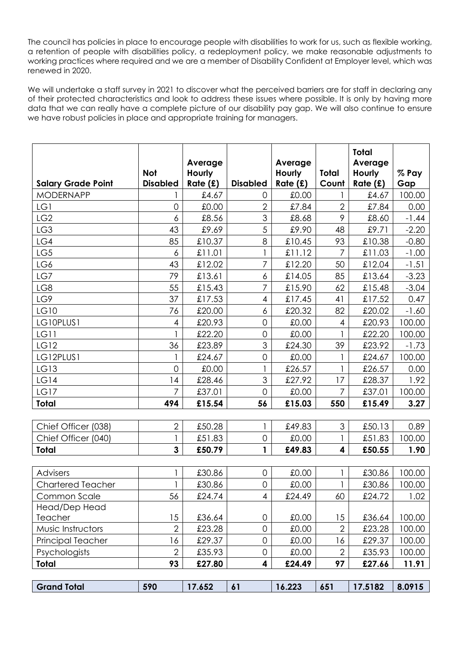The council has policies in place to encourage people with disabilities to work for us, such as flexible working, a retention of people with disabilities policy, a redeployment policy, we make reasonable adjustments to working practices where required and we are a member of Disability Confident at Employer level, which was renewed in 2020.

We will undertake a staff survey in 2021 to discover what the perceived barriers are for staff in declaring any of their protected characteristics and look to address these issues where possible. It is only by having more data that we can really have a complete picture of our disability pay gap. We will also continue to ensure we have robust policies in place and appropriate training for managers.

|                           | Not             | Average<br>Hourly |                     | Average<br>Hourly | <b>Total</b>             | Total<br>Average<br><b>Hourly</b> | % Pay   |
|---------------------------|-----------------|-------------------|---------------------|-------------------|--------------------------|-----------------------------------|---------|
| <b>Salary Grade Point</b> | <b>Disabled</b> | Rate(f)           | <b>Disabled</b>     | Rate(f)           | Count                    | Rate(f)                           | Gap     |
| <b>MODERNAPP</b>          |                 | £4.67             | 0                   | £0.00             |                          | £4.67                             | 100.00  |
| LG1                       | $\overline{0}$  | £0.00             | $\overline{2}$      | £7.84             | $\overline{2}$           | £7.84                             | 0.00    |
| LG <sub>2</sub>           | 6               | £8.56             | 3                   | £8.68             | 9                        | £8.60                             | $-1.44$ |
| LG3                       | 43              | £9.69             | 5                   | £9.90             | 48                       | £9.71                             | $-2.20$ |
| LG4                       | 85              | £10.37            | 8                   | £10.45            | 93                       | £10.38                            | $-0.80$ |
| LG5                       | 6               | £11.01            |                     | £11.12            | $\overline{7}$           | £11.03                            | $-1.00$ |
| LG6                       | 43              | £12.02            | 7                   | £12.20            | 50                       | £12.04                            | $-1.51$ |
| LG7                       | 79              | £13.61            | 6                   | £14.05            | 85                       | £13.64                            | $-3.23$ |
| LG8                       | 55              | £15.43            | 7                   | £15.90            | 62                       | £15.48                            | $-3.04$ |
| LG9                       | 37              | £17.53            | $\overline{4}$      | £17.45            | 41                       | £17.52                            | 0.47    |
| LG10                      | 76              | £20.00            | 6                   | £20.32            | 82                       | £20.02                            | $-1.60$ |
| LG10PLUS1                 | 4               | £20.93            | $\mathbf 0$         | £0.00             | $\overline{\mathcal{A}}$ | £20.93                            | 100.00  |
| LG11                      |                 | £22.20            | $\mathbf 0$         | £0.00             |                          | £22.20                            | 100.00  |
| <b>LG12</b>               | 36              | £23.89            | 3                   | £24.30            | 39                       | £23.92                            | $-1.73$ |
| LG12PLUS1                 |                 | £24.67            | $\mathsf O$         | £0.00             |                          | £24.67                            | 100.00  |
| <b>LG13</b>               | $\overline{0}$  | £0.00             |                     | £26.57            | 1                        | £26.57                            | 0.00    |
| LG14                      | 4               | £28.46            | 3                   | £27.92            | 17                       | £28.37                            | 1.92    |
| LG17                      | $\overline{7}$  | £37.01            | $\overline{0}$      | 00.0£             | 7                        | £37.01                            | 100.00  |
| <b>Total</b>              | 494             | £15.54            | 56                  | £15.03            | 550                      | £15.49                            | 3.27    |
|                           |                 |                   |                     |                   |                          |                                   |         |
| Chief Officer (038)       | $\overline{2}$  | £50.28            |                     | £49.83            | 3                        | £50.13                            | 0.89    |
| Chief Officer (040)       |                 | £51.83            | $\mathsf{O}\xspace$ | £0.00             | 1                        | £51.83                            | 100.00  |
| <b>Total</b>              | $\mathbf{3}$    | £50.79            | 1                   | £49.83            | 4                        | £50.55                            | 1.90    |
|                           |                 |                   |                     |                   |                          |                                   |         |
| <b>Advisers</b>           |                 | £30.86            | $\overline{0}$      | £0.00             |                          | £30.86                            | 100.00  |
| <b>Chartered Teacher</b>  |                 | £30.86            | $\overline{0}$      | £0.00             |                          | £30.86                            | 100.00  |
| Common Scale              | 56              | £24.74            | $\overline{4}$      | £24.49            | 60                       | £24.72                            | 1.02    |
| Head/Dep Head             |                 |                   |                     |                   |                          |                                   |         |
| Teacher                   | 15              | £36.64            | 0                   | £0.00             | 15                       | £36.64                            | 100.00  |
| Music Instructors         | $\overline{2}$  | £23.28            | $\mathsf O$         | £0.00             | $\overline{2}$           | £23.28                            | 100.00  |
| Principal Teacher         | 16              | £29.37            | $\mathsf{O}\xspace$ | £0.00             | 16                       | £29.37                            | 100.00  |
| Psychologists             | $\overline{2}$  | £35.93            | $\mathsf O$         | £0.00             | $\mathbf{2}$             | £35.93                            | 100.00  |
| Total                     | 93              | £27.80            | 4                   | £24.49            | 97                       | £27.66                            | 11.91   |
|                           |                 |                   |                     |                   |                          |                                   |         |
| <b>Grand Total</b>        | 590             | 17.652            | 61                  | 16.223            | 651                      | 17.5182                           | 8.0915  |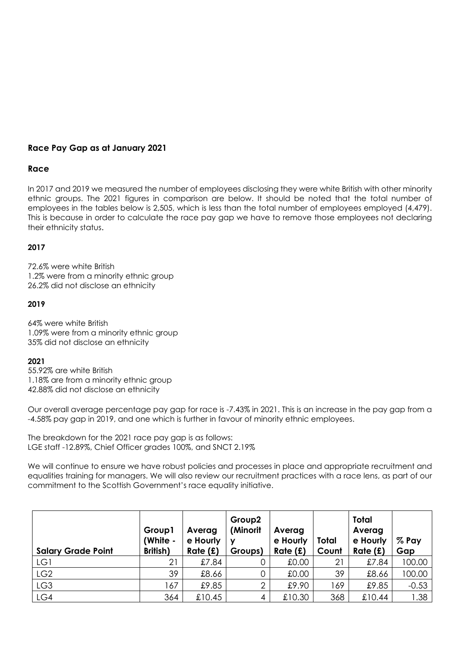# **Race Pay Gap as at January 2021**

# **Race**

In 2017 and 2019 we measured the number of employees disclosing they were white British with other minority ethnic groups. The 2021 figures in comparison are below. It should be noted that the total number of employees in the tables below is 2,505, which is less than the total number of employees employed (4,479). This is because in order to calculate the race pay gap we have to remove those employees not declaring their ethnicity status.

### **2017**

72.6% were white British 1.2% were from a minority ethnic group 26.2% did not disclose an ethnicity

### **2019**

64% were white British 1.09% were from a minority ethnic group 35% did not disclose an ethnicity

### **2021**

55.92% are white British 1.18% are from a minority ethnic group 42.88% did not disclose an ethnicity

Our overall average percentage pay gap for race is -7.43% in 2021. This is an increase in the pay gap from a -4.58% pay gap in 2019, and one which is further in favour of minority ethnic employees.

The breakdown for the 2021 race pay gap is as follows: LGE staff -12.89%, Chief Officer grades 100%, and SNCT 2.19%

We will continue to ensure we have robust policies and processes in place and appropriate recruitment and equalities training for managers. We will also review our recruitment practices with a race lens, as part of our commitment to the Scottish Government's race equality initiative.

| <b>Salary Grade Point</b> | Group1<br>(White -<br>British) | Averag<br>e Hourly<br>Rate (£) | Group <sub>2</sub><br>(Minorit<br>ν<br>Groups) | Averag<br>e Hourly<br>Rate(f) | Total<br>Count | <b>Total</b><br>Averag<br>e Hourly<br>Rate (£) | % Pay<br>Gap |
|---------------------------|--------------------------------|--------------------------------|------------------------------------------------|-------------------------------|----------------|------------------------------------------------|--------------|
| LG1                       | 21                             | £7.84                          |                                                | 0.00                          | 21             | £7.84                                          | 100.00       |
| LG <sub>2</sub>           | 39                             | £8.66                          |                                                | £0.00                         | 39             | £8.66                                          | 100.00       |
| LG <sub>3</sub>           | 167                            | £9.85                          | 2                                              | £9.90                         | 169            | £9.85                                          | $-0.53$      |
| LG4                       | 364                            | £10.45                         | 4                                              | £10.30                        | 368            | £10.44                                         | 1.38         |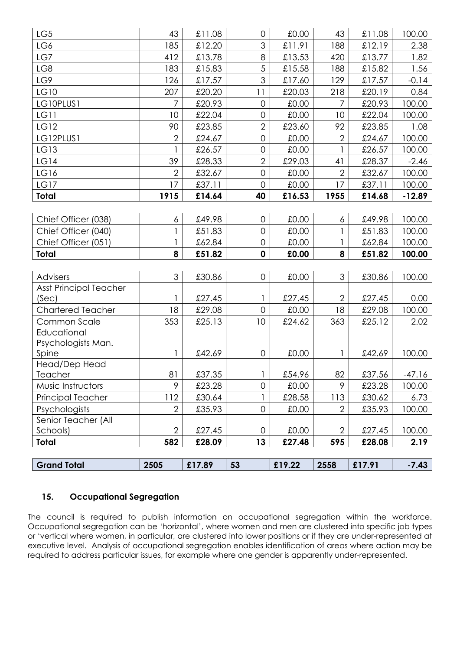| LG5                           | 43             | £11.08 | $\mathsf{O}\xspace$ | £0.00  | 43             | £11.08 | 100.00   |
|-------------------------------|----------------|--------|---------------------|--------|----------------|--------|----------|
| LG6                           | 185            | £12.20 | 3                   | £11.91 | 188            | £12.19 | 2.38     |
| LG7                           | 412            | £13.78 | 8                   | £13.53 | 420            | £13.77 | 1.82     |
| LG8                           | 183            | £15.83 | 5                   | £15.58 | 188            | £15.82 | 1.56     |
| LG9                           | 126            | £17.57 | 3                   | £17.60 | 129            | £17.57 | $-0.14$  |
| <b>LG10</b>                   | 207            | £20.20 | 11                  | £20.03 | 218            | £20.19 | 0.84     |
| LG10PLUS1                     | 7              | £20.93 | $\overline{0}$      | £0.00  | 7              | £20.93 | 100.00   |
| <b>LG11</b>                   | 10             | £22.04 | $\overline{O}$      | £0.00  | 10             | £22.04 | 100.00   |
| LG12                          | 90             | £23.85 | $\overline{2}$      | £23.60 | 92             | £23.85 | 1.08     |
| LG12PLUS1                     | $\overline{2}$ | £24.67 | $\overline{O}$      | £0.00  | $\overline{2}$ | £24.67 | 100.00   |
| LG13                          |                | £26.57 | $\mathsf{O}\xspace$ | £0.00  |                | £26.57 | 100.00   |
| LG14                          | 39             | £28.33 | $\overline{2}$      | £29.03 | 41             | £28.37 | $-2.46$  |
| LG16                          | $\overline{2}$ | £32.67 | $\mathbf 0$         | £0.00  | $\overline{2}$ | £32.67 | 100.00   |
| LG17                          | 17             | £37.11 | $\overline{O}$      | £0.00  | 17             | £37.11 | 100.00   |
| Total                         | 1915           | £14.64 | 40                  | £16.53 | 1955           | £14.68 | $-12.89$ |
|                               |                |        |                     |        |                |        |          |
| Chief Officer (038)           | 6              | £49.98 | 0                   | £0.00  | 6              | £49.98 | 100.00   |
| Chief Officer (040)           |                | £51.83 | $\overline{O}$      | £0.00  |                | £51.83 | 100.00   |
| Chief Officer (051)           |                | £62.84 | $\mathsf{O}\xspace$ | £0.00  |                | £62.84 | 100.00   |
| Total                         | 8              | £51.82 | $\mathbf 0$         | £0.00  | 8              | £51.82 | 100.00   |
|                               |                |        |                     |        |                |        |          |
| Advisers                      | 3              | £30.86 | 0                   | £0.00  | 3              | £30.86 | 100.00   |
| <b>Asst Principal Teacher</b> |                |        |                     |        |                |        |          |
| (Sec)                         |                | £27.45 | 1                   | £27.45 | $\mathbf{2}$   | £27.45 | 0.00     |
| <b>Chartered Teacher</b>      | 18             | £29.08 | $\overline{0}$      | £0.00  | 18             | £29.08 | 100.00   |
| Common Scale                  | 353            | £25.13 | 10                  | £24.62 | 363            | £25.12 | 2.02     |
| Educational                   |                |        |                     |        |                |        |          |
| Psychologists Man.<br>Spine   |                | £42.69 | 0                   | £0.00  |                | £42.69 | 100.00   |
| Head/Dep Head                 |                |        |                     |        |                |        |          |
| Teacher                       | 81             | £37.35 | $\vert$             | £54.96 | 82             | £37.56 | $-47.16$ |
| Music Instructors             | 9              | £23.28 | 0                   | £0.00  | 9              | £23.28 | 100.00   |
| <b>Principal Teacher</b>      | 112            | £30.64 | 1                   | £28.58 | 113            | £30.62 | 6.73     |
| Psychologists                 | $\overline{2}$ | £35.93 | 0                   | £0.00  | $\overline{2}$ | £35.93 | 100.00   |
| Senior Teacher (All           |                |        |                     |        |                |        |          |
| Schools)                      |                |        |                     |        |                |        |          |
|                               | $\mathbf{2}$   | £27.45 | 0                   | £0.00  | $\overline{2}$ | £27.45 | 100.00   |
| <b>Total</b>                  | 582            | £28.09 | 13                  | £27.48 | 595            | £28.08 | 2.19     |
|                               |                |        |                     |        |                |        |          |

# **15. Occupational Segregation**

The council is required to publish information on occupational segregation within the workforce. Occupational segregation can be 'horizontal', where women and men are clustered into specific job types or 'vertical where women, in particular, are clustered into lower positions or if they are under-represented at executive level. Analysis of occupational segregation enables identification of areas where action may be required to address particular issues, for example where one gender is apparently under-represented.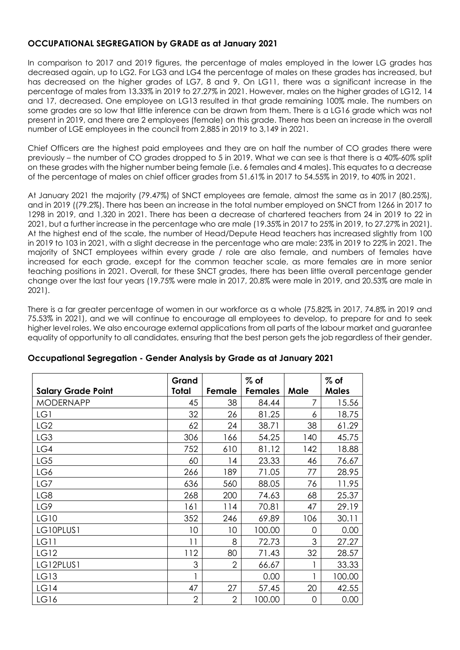# **OCCUPATIONAL SEGREGATION by GRADE as at January 2021**

In comparison to 2017 and 2019 figures, the percentage of males employed in the lower LG grades has decreased again, up to LG2. For LG3 and LG4 the percentage of males on these grades has increased, but has decreased on the higher grades of LG7, 8 and 9, On LG11, there was a significant increase in the percentage of males from 13.33% in 2019 to 27.27% in 2021. However, males on the higher grades of LG12, 14 and 17, decreased. One employee on LG13 resulted in that grade remaining 100% male. The numbers on some grades are so low that little inference can be drawn from them. There is a LG16 grade which was not present in 2019, and there are 2 employees (female) on this grade. There has been an increase in the overall number of LGE employees in the council from 2,885 in 2019 to 3,149 in 2021.

Chief Officers are the highest paid employees and they are on half the number of CO grades there were previously – the number of CO grades dropped to 5 in 2019. What we can see is that there is a 40%-60% split on these grades with the higher number being female (i.e. 6 females and 4 males). This equates to a decrease of the percentage of males on chief officer grades from 51.61% in 2017 to 54.55% in 2019, to 40% in 2021.

At January 2021 the majority (79.47%) of SNCT employees are female, almost the same as in 2017 (80.25%), and in 2019 ((79.2%). There has been an increase in the total number employed on SNCT from 1266 in 2017 to 1298 in 2019, and 1,320 in 2021. There has been a decrease of chartered teachers from 24 in 2019 to 22 in 2021, but a further increase in the percentage who are male (19.35% in 2017 to 25% in 2019, to 27.27% in 2021). At the highest end of the scale, the number of Head/Depute Head teachers has increased slightly from 100 in 2019 to 103 in 2021, with a slight decrease in the percentage who are male: 23% in 2019 to 22% in 2021. The majority of SNCT employees within every grade / role are also female, and numbers of females have increased for each grade, except for the common teacher scale, as more females are in more senior teaching positions in 2021. Overall, for these SNCT grades, there has been little overall percentage gender change over the last four years (19.75% were male in 2017, 20.8% were male in 2019, and 20.53% are male in 2021).

There is a far greater percentage of women in our workforce as a whole (75.82% in 2017, 74.8% in 2019 and 75.53% in 2021), and we will continue to encourage all employees to develop, to prepare for and to seek higher level roles. We also encourage external applications from all parts of the labour market and guarantee equality of opportunity to all candidates, ensuring that the best person gets the job regardless of their gender.

| <b>Salary Grade Point</b> | Grand<br>Total | Female         | $%$ of<br><b>Females</b> | Male | $%$ of<br><b>Males</b> |
|---------------------------|----------------|----------------|--------------------------|------|------------------------|
| <b>MODERNAPP</b>          | 45             | 38             | 84.44                    | 7    | 15.56                  |
| LG1                       | 32             | 26             | 81.25                    | 6    | 18.75                  |
| LG <sub>2</sub>           | 62             | 24             | 38.71                    | 38   | 61.29                  |
| LG3                       | 306            | 166            | 54.25                    | 140  | 45.75                  |
| LG4                       | 752            | 610            | 81.12                    | 142  | 18.88                  |
| LG5                       | 60             | 14             | 23.33                    | 46   | 76.67                  |
| LG6                       | 266            | 189            | 71.05                    | 77   | 28.95                  |
| LG7                       | 636            | 560            | 88.05                    | 76   | 11.95                  |
| LG8                       | 268            | 200            | 74.63                    | 68   | 25.37                  |
| LG9                       | 161            | 114            | 70.81                    | 47   | 29.19                  |
| LG10                      | 352            | 246            | 69.89                    | 106  | 30.11                  |
| LG10PLUS1                 | 10             | 10             | 100.00                   | 0    | 0.00                   |
| <b>LG11</b>               | 11             | 8              | 72.73                    | 3    | 27.27                  |
| LG12                      | 112            | 80             | 71.43                    | 32   | 28.57                  |
| LG12PLUS1                 | 3              | $\overline{2}$ | 66.67                    |      | 33.33                  |
| LG13                      |                |                | 0.00                     |      | 100.00                 |
| LG14                      | 47             | 27             | 57.45                    | 20   | 42.55                  |
| LG16                      | $\overline{2}$ | $\overline{2}$ | 100.00                   | 0    | 0.00                   |

# **Occupational Segregation - Gender Analysis by Grade as at January 2021**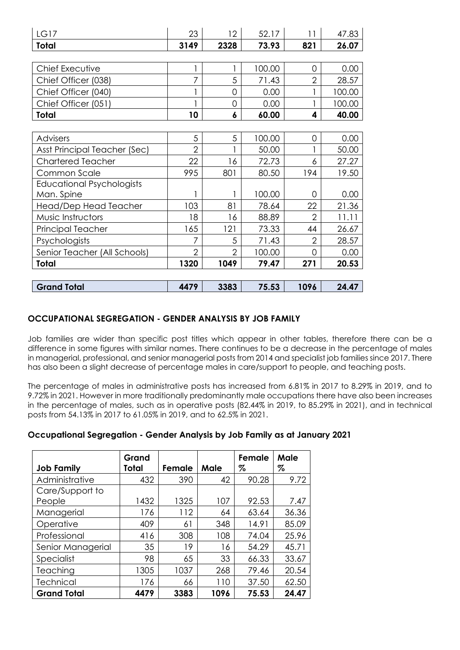| <b>LG17</b>                      | 23             | 12 <sup>2</sup> | 52.17  | 11             | 47.83  |
|----------------------------------|----------------|-----------------|--------|----------------|--------|
| Total                            | 3149           | 2328            | 73.93  | 821            | 26.07  |
|                                  |                |                 |        |                |        |
| Chief Executive                  |                |                 | 100.00 | 0              | 0.00   |
| Chief Officer (038)              | 7              | 5               | 71.43  | $\overline{2}$ | 28.57  |
| Chief Officer (040)              |                | $\overline{O}$  | 0.00   |                | 100.00 |
| Chief Officer (051)              |                | 0               | 0.00   |                | 100.00 |
| Total                            | 10             | 6               | 60.00  | 4              | 40.00  |
|                                  |                |                 |        |                |        |
| Advisers                         | 5              | 5               | 100.00 | 0              | 0.00   |
| Asst Principal Teacher (Sec)     | $\overline{2}$ |                 | 50.00  |                | 50.00  |
| <b>Chartered Teacher</b>         | 22             | 16              | 72.73  | 6              | 27.27  |
| Common Scale                     | 995            | 801             | 80.50  | 194            | 19.50  |
| <b>Educational Psychologists</b> |                |                 |        |                |        |
| Man. Spine                       |                |                 | 100.00 | 0              | 0.00   |
| Head/Dep Head Teacher            | 103            | 81              | 78.64  | 22             | 21.36  |
| Music Instructors                | 18             | 16              | 88.89  | $\overline{2}$ | 11.11  |
| Principal Teacher                | 165            | 121             | 73.33  | 44             | 26.67  |
| Psychologists                    | 7              | 5               | 71.43  | $\overline{2}$ | 28.57  |
| Senior Teacher (All Schools)     | $\overline{2}$ | $\overline{2}$  | 100.00 | 0              | 0.00   |
| Total                            | 1320           | 1049            | 79.47  | 271            | 20.53  |
|                                  |                |                 |        |                |        |
| <b>Grand Total</b>               | 4479           | 3383            | 75.53  | 1096           | 24.47  |

# **OCCUPATIONAL SEGREGATION - GENDER ANALYSIS BY JOB FAMILY**

Job families are wider than specific post titles which appear in other tables, therefore there can be a difference in some figures with similar names. There continues to be a decrease in the percentage of males in managerial, professional, and senior managerial posts from 2014 and specialist job families since 2017. There has also been a slight decrease of percentage males in care/support to people, and teaching posts.

The percentage of males in administrative posts has increased from 6.81% in 2017 to 8.29% in 2019, and to 9.72% in 2021. However in more traditionally predominantly male occupations there have also been increases in the percentage of males, such as in operative posts (82.44% in 2019, to 85.29% in 2021), and in technical posts from 54.13% in 2017 to 61.05% in 2019, and to 62.5% in 2021.

# **Occupational Segregation - Gender Analysis by Job Family as at January 2021**

| <b>Job Family</b>  | Grand<br>Total | Female | Male | Female<br>% | Male<br>% |
|--------------------|----------------|--------|------|-------------|-----------|
| Administrative     | 432            | 390    | 42   | 90.28       | 9.72      |
| Care/Support to    |                |        |      |             |           |
| People             | 1432           | 1325   | 107  | 92.53       | 7.47      |
| Managerial         | 176            | 112    | 64   | 63.64       | 36.36     |
| Operative          | 409            | 61     | 348  | 14.91       | 85.09     |
| Professional       | 416            | 308    | 108  | 74.04       | 25.96     |
| Senior Managerial  | 35             | 19     | 16   | 54.29       | 45.71     |
| Specialist         | 98             | 65     | 33   | 66.33       | 33.67     |
| Teaching           | 1305           | 1037   | 268  | 79.46       | 20.54     |
| <b>Technical</b>   | 176            | 66     | 110  | 37.50       | 62.50     |
| <b>Grand Total</b> | 4479           | 3383   | 1096 | 75.53       | 24.47     |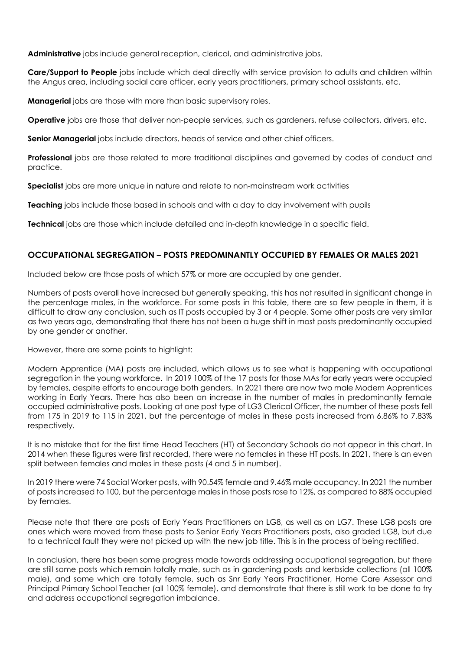**Administrative** jobs include general reception, clerical, and administrative jobs.

**Care/Support to People** jobs include which deal directly with service provision to adults and children within the Angus area, including social care officer, early years practitioners, primary school assistants, etc.

**Managerial** jobs are those with more than basic supervisory roles.

**Operative** jobs are those that deliver non-people services, such as gardeners, refuse collectors, drivers, etc.

**Senior Managerial** jobs include directors, heads of service and other chief officers.

**Professional** jobs are those related to more traditional disciplines and governed by codes of conduct and practice.

**Specialist** jobs are more unique in nature and relate to non-mainstream work activities

**Teaching** jobs include those based in schools and with a day to day involvement with pupils

**Technical** jobs are those which include detailed and in-depth knowledge in a specific field.

# **OCCUPATIONAL SEGREGATION – POSTS PREDOMINANTLY OCCUPIED BY FEMALES OR MALES 2021**

Included below are those posts of which 57% or more are occupied by one gender.

Numbers of posts overall have increased but generally speaking, this has not resulted in significant change in the percentage males, in the workforce. For some posts in this table, there are so few people in them, it is difficult to draw any conclusion, such as IT posts occupied by 3 or 4 people. Some other posts are very similar as two years ago, demonstrating that there has not been a huge shift in most posts predominantly occupied by one gender or another.

However, there are some points to highlight:

Modern Apprentice (MA) posts are included, which allows us to see what is happening with occupational segregation in the young workforce. In 2019 100% of the 17 posts for those MAs for early years were occupied by females, despite efforts to encourage both genders. In 2021 there are now two male Modern Apprentices working in Early Years. There has also been an increase in the number of males in predominantly female occupied administrative posts. Looking at one post type of LG3 Clerical Officer, the number of these posts fell from 175 in 2019 to 115 in 2021, but the percentage of males in these posts increased from 6.86% to 7.83% respectively.

It is no mistake that for the first time Head Teachers (HT) at Secondary Schools do not appear in this chart. In 2014 when these figures were first recorded, there were no females in these HT posts. In 2021, there is an even split between females and males in these posts (4 and 5 in number).

In 2019 there were 74 Social Worker posts, with 90.54% female and 9.46% male occupancy. In 2021 the number of posts increased to 100, but the percentage males in those posts rose to 12%, as compared to 88% occupied by females.

Please note that there are posts of Early Years Practitioners on LG8, as well as on LG7. These LG8 posts are ones which were moved from these posts to Senior Early Years Practitioners posts, also graded LG8, but due to a technical fault they were not picked up with the new job title. This is in the process of being rectified.

In conclusion, there has been some progress made towards addressing occupational segregation, but there are still some posts which remain totally male, such as in gardening posts and kerbside collections (all 100% male), and some which are totally female, such as Snr Early Years Practitioner, Home Care Assessor and Principal Primary School Teacher (all 100% female), and demonstrate that there is still work to be done to try and address occupational segregation imbalance.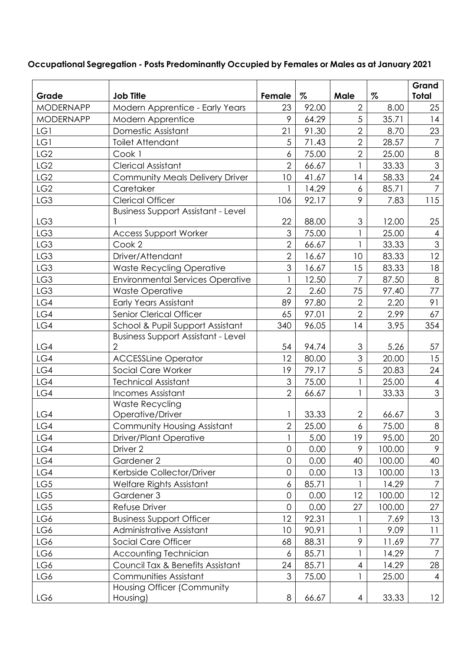| Grade            | <b>Job Title</b>                          | Female         | %     | Male                      | $\%$   | Grand<br>Total            |
|------------------|-------------------------------------------|----------------|-------|---------------------------|--------|---------------------------|
| <b>MODERNAPP</b> | Modern Apprentice - Early Years           | 23             | 92.00 | $\overline{2}$            | 8.00   | 25                        |
| <b>MODERNAPP</b> | Modern Apprentice                         | 9              | 64.29 | 5                         | 35.71  | 14                        |
| LG1              | Domestic Assistant                        | 21             | 91.30 | $\overline{2}$            | 8.70   | 23                        |
| LG1              | <b>Toilet Attendant</b>                   | 5              | 71.43 | $\overline{2}$            | 28.57  | $\overline{7}$            |
| LG <sub>2</sub>  | Cook 1                                    | 6              | 75.00 | $\overline{2}$            | 25.00  | $\,8\,$                   |
| LG <sub>2</sub>  | <b>Clerical Assistant</b>                 | $\overline{2}$ | 66.67 |                           | 33.33  | 3                         |
| LG <sub>2</sub>  | Community Meals Delivery Driver           | 10             | 41.67 | 14                        | 58.33  | 24                        |
| LG <sub>2</sub>  | Caretaker                                 |                | 14.29 | 6                         | 85.71  | $\overline{7}$            |
| LG3              | <b>Clerical Officer</b>                   | 106            | 92.17 | 9                         | 7.83   | 115                       |
|                  | <b>Business Support Assistant - Level</b> |                |       |                           |        |                           |
| LG3              |                                           | 22             | 88.00 | 3                         | 12.00  | 25                        |
| LG3              | <b>Access Support Worker</b>              | 3              | 75.00 |                           | 25.00  | $\overline{4}$            |
| LG3              | Cook 2                                    | $\overline{2}$ | 66.67 |                           | 33.33  | 3                         |
| LG3              | Driver/Attendant                          | $\overline{2}$ | 16.67 | 10                        | 83.33  | 12                        |
| LG3              | <b>Waste Recycling Operative</b>          | 3              | 16.67 | 15                        | 83.33  | 18                        |
| LG3              | <b>Environmental Services Operative</b>   |                | 12.50 | $\overline{7}$            | 87.50  | $8\,$                     |
| LG3              | <b>Waste Operative</b>                    | $\overline{2}$ | 2.60  | 75                        | 97.40  | 77                        |
| LG4              | <b>Early Years Assistant</b>              | 89             | 97.80 | $\overline{2}$            | 2.20   | 91                        |
| LG4              | Senior Clerical Officer                   | 65             | 97.01 | $\overline{2}$            | 2.99   | 67                        |
| LG4              | School & Pupil Support Assistant          | 340            | 96.05 | 14                        | 3.95   | 354                       |
|                  | <b>Business Support Assistant - Level</b> |                |       |                           |        |                           |
| LG4              | 2                                         | 54             | 94.74 | $\ensuremath{\mathsf{3}}$ | 5.26   | 57                        |
| LG4              | <b>ACCESSLine Operator</b>                | 12             | 80.00 | 3                         | 20.00  | 15                        |
| LG4              | Social Care Worker                        | 19             | 79.17 | 5                         | 20.83  | 24                        |
| LG4              | <b>Technical Assistant</b>                | 3              | 75.00 | 1                         | 25.00  | $\overline{4}$            |
| LG4              | <b>Incomes Assistant</b>                  | $\overline{2}$ | 66.67 |                           | 33.33  | 3                         |
|                  | Waste Recycling                           |                |       |                           |        |                           |
| LG4              | Operative/Driver                          |                | 33.33 | $\overline{2}$            | 66.67  | $\ensuremath{\mathsf{3}}$ |
| LG4              | Community Housing Assistant               | 2              | 25.00 | 6                         | 75.00  | $8\,$                     |
| LG4              | <b>Driver/Plant Operative</b>             |                | 5.00  | 19                        | 95.00  | 20                        |
| LG4              | Driver 2                                  | $\overline{0}$ | 0.00  | 9                         | 100.00 | 9                         |
| LG4              | Gardener 2                                | $\overline{0}$ | 0.00  | 40                        | 100.00 | 40                        |
| LG4              | Kerbside Collector/Driver                 | $\mathbf 0$    | 0.00  | 13                        | 100.00 | 13                        |
| LG5              | Welfare Rights Assistant                  | 6              | 85.71 | 1                         | 14.29  | $\overline{7}$            |
| LG5              | Gardener 3                                | $\overline{0}$ | 0.00  | 12                        | 100.00 | 12                        |
| LG5              | Refuse Driver                             | $\overline{0}$ | 0.00  | 27                        | 100.00 | 27                        |
| LG6              | <b>Business Support Officer</b>           | 12             | 92.31 |                           | 7.69   | 13                        |
| LG6              | Administrative Assistant                  | 10             | 90.91 |                           | 9.09   | 11                        |
| LG6              | Social Care Officer                       | 68             | 88.31 | 9                         | 11.69  | 77                        |
| LG6              | <b>Accounting Technician</b>              | 6              | 85.71 |                           | 14.29  | $\overline{7}$            |
| LG6              | Council Tax & Benefits Assistant          | 24             | 85.71 | 4                         | 14.29  | 28                        |
| LG6              | Communities Assistant                     | 3              | 75.00 |                           | 25.00  | $\overline{4}$            |
| LG6              | Housing Officer (Community<br>Housing)    | 8              | 66.67 | 4                         | 33.33  | 12                        |

# **Occupational Segregation - Posts Predominantly Occupied by Females or Males as at January 2021**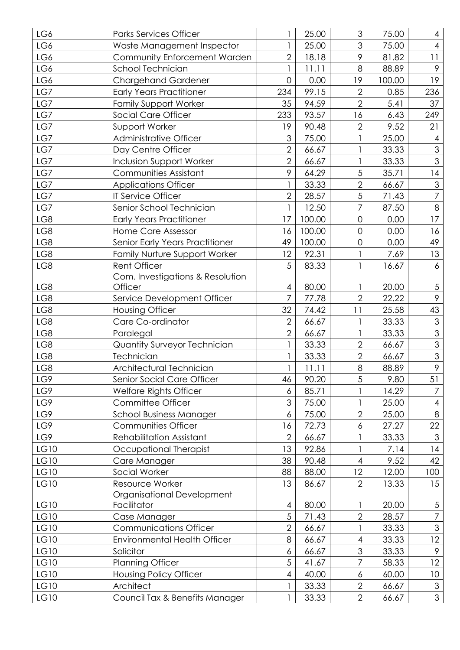| LG6         | <b>Parks Services Officer</b>       |                | 25.00  | 3              | 75.00  | 4               |
|-------------|-------------------------------------|----------------|--------|----------------|--------|-----------------|
| LG6         | Waste Management Inspector          | 1              | 25.00  | 3              | 75.00  | $\overline{4}$  |
| LG6         | Community Enforcement Warden        | $\overline{2}$ | 18.18  | 9              | 81.82  | 11              |
| LG6         | School Technician                   | 1              | 11.11  | 8              | 88.89  | 9               |
| LG6         | <b>Chargehand Gardener</b>          | 0              | 0.00   | 19             | 100.00 | 19              |
| LG7         | <b>Early Years Practitioner</b>     | 234            | 99.15  | $\overline{2}$ | 0.85   | 236             |
| LG7         | <b>Family Support Worker</b>        | 35             | 94.59  | $\overline{2}$ | 5.41   | 37              |
| LG7         | Social Care Officer                 | 233            | 93.57  | 16             | 6.43   | 249             |
| LG7         | Support Worker                      | 19             | 90.48  | $\overline{2}$ | 9.52   | 21              |
| LG7         | Administrative Officer              | 3              | 75.00  |                | 25.00  | $\overline{4}$  |
| LG7         | Day Centre Officer                  | $\overline{2}$ | 66.67  |                | 33.33  | 3               |
| LG7         | <b>Inclusion Support Worker</b>     | $\overline{2}$ | 66.67  | 1              | 33.33  | 3               |
| LG7         | Communities Assistant               | 9              | 64.29  | $\sqrt{5}$     | 35.71  | 4               |
| LG7         | <b>Applications Officer</b>         |                | 33.33  | $\overline{2}$ | 66.67  | $\mathfrak{S}$  |
| LG7         | IT Service Officer                  | $\overline{2}$ | 28.57  | $\sqrt{5}$     | 71.43  | $\overline{7}$  |
| LG7         | Senior School Technician            | $\mathbf{1}$   | 12.50  | $\overline{7}$ | 87.50  | $8\,$           |
| LG8         | <b>Early Years Practitioner</b>     | 17             | 100.00 | $\mathbf 0$    | 0.00   | 17              |
| LG8         | Home Care Assessor                  | 16             | 100.00 | $\overline{0}$ | 0.00   | 16              |
| LG8         | Senior Early Years Practitioner     | 49             | 100.00 | $\mathbf 0$    | 0.00   | 49              |
| LG8         | Family Nurture Support Worker       | 12             | 92.31  | 1              | 7.69   | 13              |
| LG8         | <b>Rent Officer</b>                 | 5              | 83.33  |                | 16.67  | 6               |
|             | Com. Investigations & Resolution    |                |        |                |        |                 |
| LG8         | Officer                             | 4              | 80.00  |                | 20.00  | $\overline{5}$  |
| LG8         | Service Development Officer         | 7              | 77.78  | $\overline{2}$ | 22.22  | 9               |
| LG8         | <b>Housing Officer</b>              | 32             | 74.42  | 11             | 25.58  | 43              |
| LG8         | Care Co-ordinator                   | $\overline{2}$ | 66.67  |                | 33.33  | $\mathfrak 3$   |
| LG8         | Paralegal                           | $\overline{2}$ | 66.67  |                | 33.33  | $\mathfrak{S}$  |
| LG8         | Quantity Surveyor Technician        |                | 33.33  | $\overline{2}$ | 66.67  | $\mathfrak{S}$  |
| LG8         | Technician                          |                | 33.33  | $\overline{2}$ | 66.67  | $\mathfrak{S}$  |
| LG8         | Architectural Technician            |                | 11.11  | 8              | 88.89  | 9               |
| LG9         | Senior Social Care Officer          | 46             | 90.20  | 5              | 9.80   | 51              |
| LG9         | Welfare Rights Officer              | 6              | 85.71  |                | 14.29  | 7               |
| LG9         | Committee Officer                   | 3              | 75.00  |                | 25.00  | 4               |
| LG9         | <b>School Business Manager</b>      | 6              | 75.00  | $\overline{2}$ | 25.00  | 8               |
| LG9         | <b>Communities Officer</b>          | 16             | 72.73  | 6              | 27.27  | 22              |
| LG9         | <b>Rehabilitation Assistant</b>     | $\overline{2}$ | 66.67  |                | 33.33  | 3               |
| LG10        | Occupational Therapist              | 13             | 92.86  |                | 7.14   | 14              |
| <b>LG10</b> | Care Manager                        | 38             | 90.48  | $\overline{4}$ | 9.52   | 42              |
| LG10        | Social Worker                       | 88             | 88.00  | 12             | 12.00  | 100             |
| LG10        | Resource Worker                     | 13             | 86.67  | $\overline{2}$ | 13.33  | 15              |
|             | Organisational Development          |                |        |                |        |                 |
| LG10        | Facilitator                         | 4              | 80.00  |                | 20.00  | $\overline{5}$  |
| LG10        | Case Manager                        | 5              | 71.43  | $\mathbf{2}$   | 28.57  | 7               |
| LG10        | <b>Communications Officer</b>       | $\overline{2}$ | 66.67  |                | 33.33  | 3               |
| LG10        | <b>Environmental Health Officer</b> | 8              | 66.67  | $\overline{4}$ | 33.33  | 12              |
| LG10        | Solicitor                           | 6              | 66.67  | $\mathfrak{S}$ | 33.33  | 9               |
| LG10        | <b>Planning Officer</b>             | 5              | 41.67  | 7              | 58.33  | 12              |
| LG10        | <b>Housing Policy Officer</b>       | 4              | 40.00  | 6              | 60.00  | 10 <sup>°</sup> |
| LG10        | Architect                           |                | 33.33  | $\overline{2}$ | 66.67  | 3               |
| LG10        | Council Tax & Benefits Manager      |                | 33.33  | $\overline{2}$ | 66.67  | 3 <sup>7</sup>  |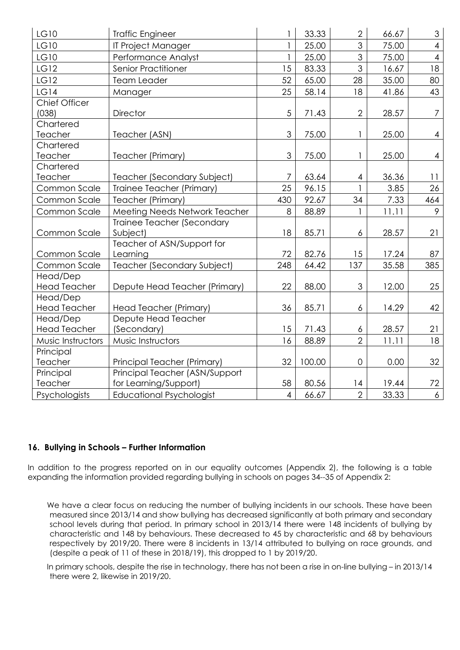| <b>LG10</b>         | <b>Traffic Engineer</b>         |                | 33.33  | $\overline{2}$   | 66.67 | 3                        |
|---------------------|---------------------------------|----------------|--------|------------------|-------|--------------------------|
| LG10                | IT Project Manager              | $\mathbf{1}$   | 25.00  | 3                | 75.00 | $\overline{4}$           |
| LG10                | Performance Analyst             | $\mathbf{1}$   | 25.00  | 3                | 75.00 | $\overline{\mathcal{A}}$ |
| <b>LG12</b>         | <b>Senior Practitioner</b>      | 15             | 83.33  | $\mathfrak{S}$   | 16.67 | 18                       |
| <b>LG12</b>         | <b>Team Leader</b>              | 52             | 65.00  | 28               | 35.00 | 80                       |
| LG14                | Manager                         | 25             | 58.14  | 18               | 41.86 | 43                       |
| Chief Officer       |                                 |                |        |                  |       |                          |
| (038)               | <b>Director</b>                 | 5              | 71.43  | $\overline{2}$   | 28.57 | $\overline{7}$           |
| Chartered           |                                 |                |        |                  |       |                          |
| Teacher             | Teacher (ASN)                   | 3              | 75.00  | 1                | 25.00 | 4                        |
| Chartered           |                                 |                |        |                  |       |                          |
| Teacher             | Teacher (Primary)               | 3              | 75.00  | 1                | 25.00 | $\overline{4}$           |
| Chartered           |                                 |                |        |                  |       |                          |
| Teacher             | Teacher (Secondary Subject)     | 7              | 63.64  | 4                | 36.36 | 11                       |
| Common Scale        | Trainee Teacher (Primary)       | 25             | 96.15  |                  | 3.85  | 26                       |
| Common Scale        | Teacher (Primary)               | 430            | 92.67  | 34               | 7.33  | 464                      |
| Common Scale        | Meeting Needs Network Teacher   | 8              | 88.89  | 1                | 11.11 | 9                        |
|                     | Trainee Teacher (Secondary      |                |        |                  |       |                          |
| Common Scale        | Subject)                        | 18             | 85.71  | $\epsilon$       | 28.57 | 21                       |
|                     | Teacher of ASN/Support for      |                |        |                  |       |                          |
| Common Scale        | Learning                        | 72             | 82.76  | 15               | 17.24 | 87                       |
| Common Scale        | Teacher (Secondary Subject)     | 248            | 64.42  | 137              | 35.58 | 385                      |
| Head/Dep            |                                 |                |        |                  |       |                          |
| <b>Head Teacher</b> | Depute Head Teacher (Primary)   | 22             | 88.00  | $\mathfrak{S}$   | 12.00 | 25                       |
| Head/Dep            |                                 |                |        |                  |       |                          |
| <b>Head Teacher</b> | Head Teacher (Primary)          | 36             | 85.71  | $\boldsymbol{6}$ | 14.29 | 42                       |
| Head/Dep            | Depute Head Teacher             |                |        |                  |       |                          |
| <b>Head Teacher</b> | (Secondary)                     | 15             | 71.43  | 6                | 28.57 | 21                       |
| Music Instructors   | Music Instructors               | 16             | 88.89  | $\overline{2}$   | 11.11 | 18                       |
| Principal           |                                 |                |        |                  |       |                          |
| Teacher             | Principal Teacher (Primary)     | 32             | 100.00 | $\overline{0}$   | 0.00  | 32                       |
| Principal           | Principal Teacher (ASN/Support  |                |        |                  |       |                          |
| Teacher             | for Learning/Support)           | 58             | 80.56  | 4                | 19.44 | 72                       |
| Psychologists       | <b>Educational Psychologist</b> | $\overline{4}$ | 66.67  | $\overline{2}$   | 33.33 | 6                        |

# **16. Bullying in Schools – Further Information**

In addition to the progress reported on in our equality outcomes (Appendix 2), the following is a table expanding the information provided regarding bullying in schools on pages 34--35 of Appendix 2:

 We have a clear focus on reducing the number of bullying incidents in our schools. These have been measured since 2013/14 and show bullying has decreased significantly at both primary and secondary school levels during that period. In primary school in 2013/14 there were 148 incidents of bullying by characteristic and 148 by behaviours. These decreased to 45 by characteristic and 68 by behaviours respectively by 2019/20. There were 8 incidents in 13/14 attributed to bullying on race grounds, and (despite a peak of 11 of these in 2018/19), this dropped to 1 by 2019/20.

 In primary schools, despite the rise in technology, there has not been a rise in on-line bullying – in 2013/14 there were 2, likewise in 2019/20.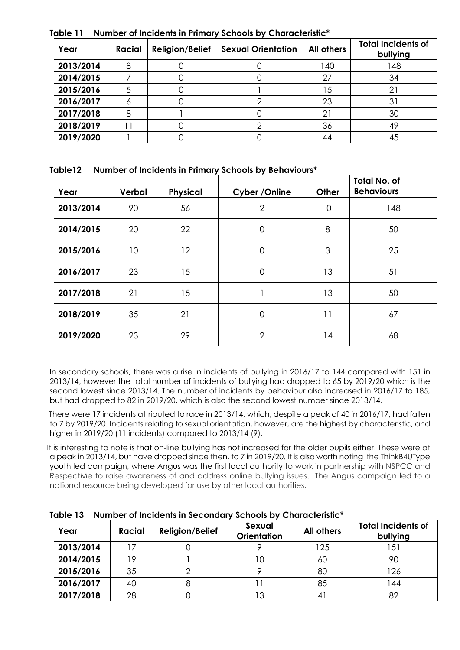| Year      | <b>Racial</b> | <b>Religion/Belief</b> | <b>Sexual Orientation</b> | <b>All others</b> | <b>Total Incidents of</b><br>bullying |
|-----------|---------------|------------------------|---------------------------|-------------------|---------------------------------------|
| 2013/2014 | 8             |                        |                           | 140               | 148                                   |
| 2014/2015 |               |                        |                           | 27                | 34                                    |
| 2015/2016 |               |                        |                           | 15                | 21                                    |
| 2016/2017 | Ô             |                        |                           | 23                | 31                                    |
| 2017/2018 | 8             |                        |                           | 21                | 30                                    |
| 2018/2019 |               |                        |                           | 36                | 49                                    |
| 2019/2020 |               |                        |                           | 44                | 45                                    |

**Table 11 Number of Incidents in Primary Schools by Characteristic\*** 

|  | Table12 Number of Incidents in Primary Schools by Behaviours* |  |  |
|--|---------------------------------------------------------------|--|--|
|--|---------------------------------------------------------------|--|--|

| Year      | Verbal | <b>Physical</b> | Cyber / Online | <b>Other</b> | <b>Total No. of</b><br><b>Behaviours</b> |
|-----------|--------|-----------------|----------------|--------------|------------------------------------------|
| 2013/2014 | 90     | 56              | $\overline{2}$ | $\mathbf 0$  | 148                                      |
| 2014/2015 | 20     | 22              | $\mathbf 0$    | 8            | 50                                       |
| 2015/2016 | 10     | 12              | $\mathbf 0$    | 3            | 25                                       |
| 2016/2017 | 23     | 15              | $\mathbf 0$    | 13           | 51                                       |
| 2017/2018 | 21     | 15              |                | 13           | 50                                       |
| 2018/2019 | 35     | 21              | $\overline{O}$ | 11           | 67                                       |
| 2019/2020 | 23     | 29              | $\overline{2}$ | 14           | 68                                       |

In secondary schools, there was a rise in incidents of bullying in 2016/17 to 144 compared with 151 in 2013/14, however the total number of incidents of bullying had dropped to 65 by 2019/20 which is the second lowest since 2013/14. The number of incidents by behaviour also increased in 2016/17 to 185, but had dropped to 82 in 2019/20, which is also the second lowest number since 2013/14.

 There were 17 incidents attributed to race in 2013/14, which, despite a peak of 40 in 2016/17, had fallen to 7 by 2019/20. Incidents relating to sexual orientation, however, are the highest by characteristic, and higher in 2019/20 (11 incidents) compared to 2013/14 (9).

 It is interesting to note is that on-line bullying has not increased for the older pupils either. These were at a peak in 2013/14, but have dropped since then, to 7 in 2019/20. It is also worth noting the ThinkB4UType youth led campaign, where Angus was the first local authority to work in partnership with NSPCC and RespectMe to raise awareness of and address online bullying issues. The Angus campaign led to a national resource being developed for use by other local authorities.

| Year      | <b>Racial</b> | <b>Religion/Belief</b> | Sexual<br><b>Orientation</b> | <b>All others</b> | <b>Total Incidents of</b><br>bullying |
|-----------|---------------|------------------------|------------------------------|-------------------|---------------------------------------|
| 2013/2014 |               |                        |                              | 125               | 151                                   |
| 2014/2015 | റ             |                        | IС                           | 60                | 90                                    |
| 2015/2016 | 35            |                        |                              | 80                | 126                                   |
| 2016/2017 | 40            |                        |                              | 85                | 144                                   |
| 2017/2018 | 28            |                        |                              | 4                 | 82                                    |

**Table 13 Number of Incidents in Secondary Schools by Characteristic\***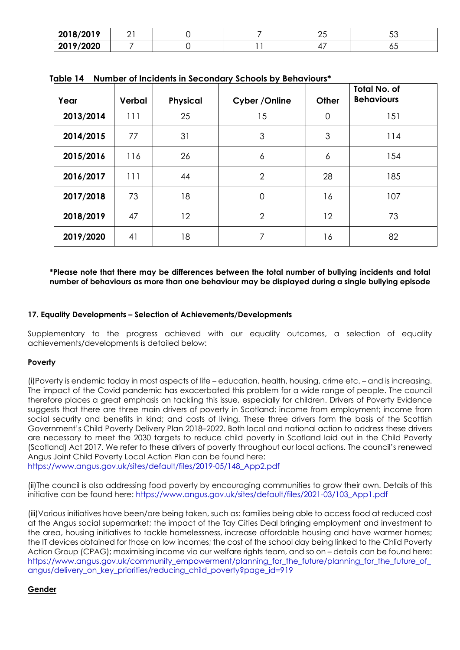| 2010/2010<br><b>ZUIO/ZUI.</b> | <u>_</u> |  | ⌒┏<br>∠◡ | $\overline{r}$<br>◡◡ |
|-------------------------------|----------|--|----------|----------------------|
| 2019/2020                     |          |  | .<br>≖   | ◡◡                   |

| Year      | Verbal | <b>Physical</b> | Cyber / Online | Other   | <b>Total No. of</b><br><b>Behaviours</b> |
|-----------|--------|-----------------|----------------|---------|------------------------------------------|
| 2013/2014 | 111    | 25              | 15             | 0       | 151                                      |
| 2014/2015 | 77     | 31              | 3              | 3       | 114                                      |
| 2015/2016 | 116    | 26              | 6              | 6       | 154                                      |
| 2016/2017 | 111    | 44              | $\overline{2}$ | 28      | 185                                      |
| 2017/2018 | 73     | 18              | $\Omega$       | 16      | 107                                      |
| 2018/2019 | 47     | $12 \,$         | $\overline{2}$ | $12 \,$ | 73                                       |
| 2019/2020 | 41     | 18              | 7              | 16      | 82                                       |

**Table 14 Number of Incidents in Secondary Schools by Behaviours\***

### **\*Please note that there may be differences between the total number of bullying incidents and total number of behaviours as more than one behaviour may be displayed during a single bullying episode**

### **17. Equality Developments – Selection of Achievements/Developments**

Supplementary to the progress achieved with our equality outcomes, a selection of equality achievements/developments is detailed below:

### **Poverty**

(i)Poverty is endemic today in most aspects of life – education, health, housing, crime etc. – and is increasing. The impact of the Covid pandemic has exacerbated this problem for a wide range of people. The council therefore places a great emphasis on tackling this issue, especially for children. Drivers of Poverty Evidence suggests that there are three main drivers of poverty in Scotland: income from employment; income from social security and benefits in kind; and costs of living. These three drivers form the basis of the Scottish Government's Child Poverty Delivery Plan 2018–2022. Both local and national action to address these drivers are necessary to meet the 2030 targets to reduce child poverty in Scotland laid out in the Child Poverty (Scotland) Act 2017. We refer to these drivers of poverty throughout our local actions. The council's renewed Angus Joint Child Poverty Local Action Plan can be found here:

[https://www.angus.gov.uk/sites/default/files/2019-05/148\\_App2.pdf](https://www.angus.gov.uk/sites/default/files/2019-05/148_App2.pdf)

(ii)The council is also addressing food poverty by encouraging communities to grow their own. Details of this initiative can be found here: [https://www.angus.gov.uk/sites/default/files/2021-03/103\\_App1.pdf](https://www.angus.gov.uk/sites/default/files/2021-03/103_App1.pdf) 

(iii)Various initiatives have been/are being taken, such as: families being able to access food at reduced cost at the Angus social supermarket; the impact of the Tay Cities Deal bringing employment and investment to the area, housing initiatives to tackle homelessness, increase affordable housing and have warmer homes; the IT devices obtained for those on low incomes; the cost of the school day being linked to the Chlid Poverty Action Group (CPAG); maximising income via our welfare rights team, and so on – details can be found here: [https://www.angus.gov.uk/community\\_empowerment/planning\\_for\\_the\\_future/planning\\_for\\_the\\_future\\_of\\_](https://www.angus.gov.uk/community_empowerment/planning_for_the_future/planning_for_the_future_of_angus/delivery_on_key_priorities/reducing_child_poverty?page_id=919) [angus/delivery\\_on\\_key\\_priorities/reducing\\_child\\_poverty?page\\_id=919](https://www.angus.gov.uk/community_empowerment/planning_for_the_future/planning_for_the_future_of_angus/delivery_on_key_priorities/reducing_child_poverty?page_id=919)

# **Gender**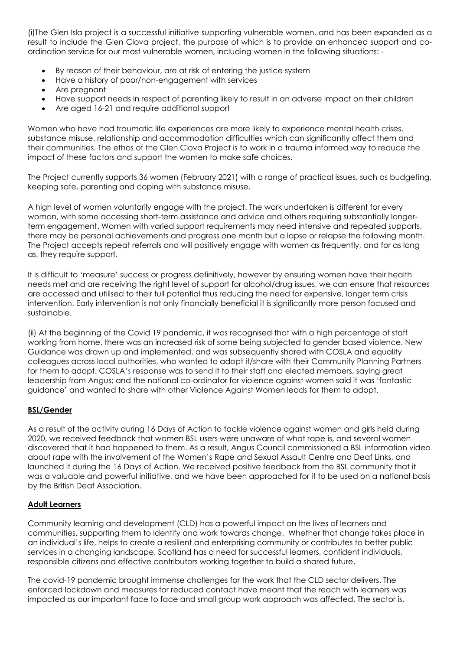(i)The Glen Isla project is a successful initiative supporting vulnerable women, and has been expanded as a result to include the Glen Clova project, the purpose of which is to provide an enhanced support and coordination service for our most vulnerable women, including women in the following situations: -

- By reason of their behaviour, are at risk of entering the justice system
- Have a history of poor/non-engagement with services
- Are pregnant
- Have support needs in respect of parenting likely to result in an adverse impact on their children
- Are aged 16-21 and require additional support

Women who have had traumatic life experiences are more likely to experience mental health crises, substance misuse, relationship and accommodation difficulties which can significantly affect them and their communities. The ethos of the Glen Clova Project is to work in a trauma informed way to reduce the impact of these factors and support the women to make safe choices.

The Project currently supports 36 women (February 2021) with a range of practical issues, such as budgeting, keeping safe, parenting and coping with substance misuse.

A high level of women voluntarily engage with the project. The work undertaken is different for every woman, with some accessing short-term assistance and advice and others requiring substantially longerterm engagement. Women with varied support requirements may need intensive and repeated supports, there may be personal achievements and progress one month but a lapse or relapse the following month. The Project accepts repeat referrals and will positively engage with women as frequently, and for as long as, they require support.

It is difficult to 'measure' success or progress definitively, however by ensuring women have their health needs met and are receiving the right level of support for alcohol/drug issues, we can ensure that resources are accessed and utilised to their full potential thus reducing the need for expensive, longer term crisis intervention. Early intervention is not only financially beneficial it is significantly more person focused and sustainable.

(ii) At the beginning of the Covid 19 pandemic, it was recognised that with a high percentage of staff working from home, there was an increased risk of some being subjected to gender based violence. New Guidance was drawn up and implemented, and was subsequently shared with COSLA and equality colleagues across local authorities, who wanted to adopt it/share with their Community Planning Partners for them to adopt. COSLA's response was to send it to their staff and elected members, saying great leadership from Angus; and the national co-ordinator for violence against women said it was 'fantastic guidance' and wanted to share with other Violence Against Women leads for them to adopt.

### **BSL/Gender**

As a result of the activity during 16 Days of Action to tackle violence against women and girls held during 2020, we received feedback that women BSL users were unaware of what rape is, and several women discovered that it had happened to them. As a result, Angus Council commissioned a BSL information video about rape with the involvement of the Women's Rape and Sexual Assault Centre and Deaf Links, and launched it during the 16 Days of Action. We received positive feedback from the BSL community that it was a valuable and powerful initiative, and we have been approached for it to be used on a national basis by the British Deaf Association.

### **Adult Learners**

Community learning and development (CLD) has a powerful impact on the lives of learners and communities, supporting them to identify and work towards change. Whether that change takes place in an individual's life, helps to create a resilient and enterprising community or contributes to better public services in a changing landscape, Scotland has a need for successful learners, confident individuals, responsible citizens and effective contributors working together to build a shared future.

The covid-19 pandemic brought immense challenges for the work that the CLD sector delivers. The enforced lockdown and measures for reduced contact have meant that the reach with learners was impacted as our important face to face and small group work approach was affected. The sector is,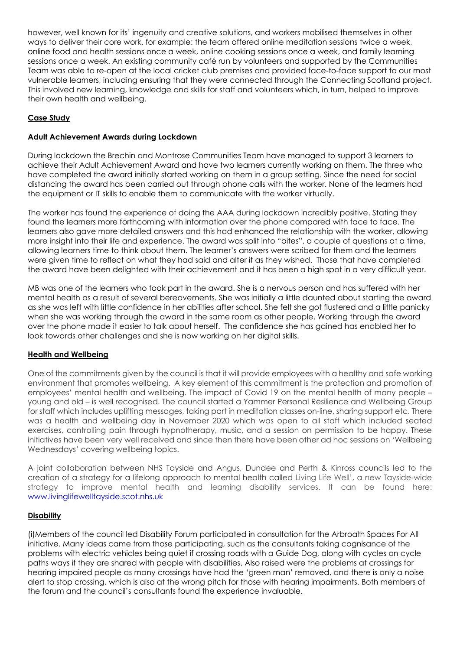however, well known for its' ingenuity and creative solutions, and workers mobilised themselves in other ways to deliver their core work, for example: the team offered online meditation sessions twice a week, online food and health sessions once a week, online cooking sessions once a week, and family learning sessions once a week. An existing community café run by volunteers and supported by the Communities Team was able to re-open at the local cricket club premises and provided face-to-face support to our most vulnerable learners, including ensuring that they were connected through the Connecting Scotland project. This involved new learning, knowledge and skills for staff and volunteers which, in turn, helped to improve their own health and wellbeing.

# **Case Study**

### **Adult Achievement Awards during Lockdown**

During lockdown the Brechin and Montrose Communities Team have managed to support 3 learners to achieve their Adult Achievement Award and have two learners currently working on them. The three who have completed the award initially started working on them in a group setting. Since the need for social distancing the award has been carried out through phone calls with the worker. None of the learners had the equipment or IT skills to enable them to communicate with the worker virtually.

The worker has found the experience of doing the AAA during lockdown incredibly positive. Stating they found the learners more forthcoming with information over the phone compared with face to face. The learners also gave more detailed answers and this had enhanced the relationship with the worker, allowing more insight into their life and experience. The award was split into "bites", a couple of questions at a time, allowing learners time to think about them. The learner's answers were scribed for them and the learners were given time to reflect on what they had said and alter it as they wished. Those that have completed the award have been delighted with their achievement and it has been a high spot in a very difficult year.

MB was one of the learners who took part in the award. She is a nervous person and has suffered with her mental health as a result of several bereavements. She was initially a little daunted about starting the award as she was left with little confidence in her abilities after school. She felt she got flustered and a little panicky when she was working through the award in the same room as other people. Working through the award over the phone made it easier to talk about herself. The confidence she has gained has enabled her to look towards other challenges and she is now working on her digital skills.

# **Health and Wellbeing**

One of the commitments given by the council is that it will provide employees with a healthy and safe working environment that promotes wellbeing. A key element of this commitment is the protection and promotion of employees' mental health and wellbeing. The impact of Covid 19 on the mental health of many people – young and old – is well recognised. The council started a Yammer Personal Resilience and Wellbeing Group for staff which includes uplifting messages, taking part in meditation classes on-line, sharing support etc. There was a health and wellbeing day in November 2020 which was open to all staff which included seated exercises, controlling pain through hypnotherapy, music, and a session on permission to be happy. These initiatives have been very well received and since then there have been other ad hoc sessions on 'Wellbeing Wednesdays' covering wellbeing topics.

A joint collaboration between NHS Tayside and Angus, Dundee and Perth & Kinross councils led to the creation of a strategy for a lifelong approach to mental health called Living Life Well', a new Tayside-wide strategy to improve mental health and learning disability services. It can be found here: [www.livinglifewelltayside.scot.nhs.uk](http://www.livinglifewelltayside.scot.nhs.uk/)

### **Disability**

(i)Members of the council led Disability Forum participated in consultation for the Arbroath Spaces For All initiative. Many ideas came from those participating, such as the consultants taking cognisance of the problems with electric vehicles being quiet if crossing roads with a Guide Dog, along with cycles on cycle paths ways if they are shared with people with disabilities. Also raised were the problems at crossings for hearing impaired people as many crossings have had the 'green man' removed, and there is only a noise alert to stop crossing, which is also at the wrong pitch for those with hearing impairments. Both members of the forum and the council's consultants found the experience invaluable.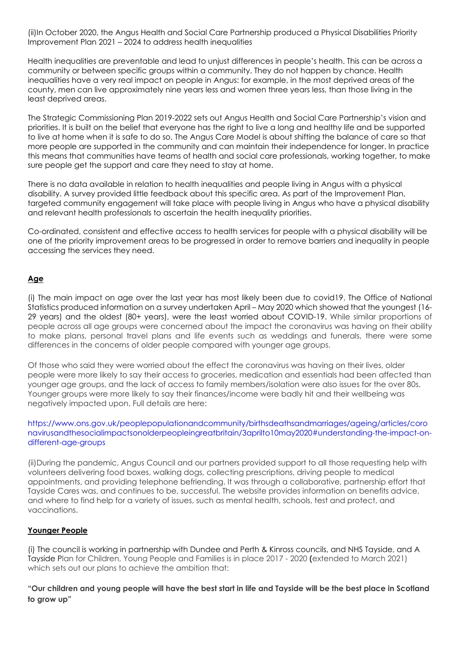(ii)In October 2020, the Angus Health and Social Care Partnership produced a Physical Disabilities Priority Improvement Plan 2021 – 2024 to address health inequalities

Health inequalities are preventable and lead to unjust differences in people's health. This can be across a community or between specific groups within a community. They do not happen by chance. Health inequalities have a very real impact on people in Angus: for example, in the most deprived areas of the county, men can live approximately nine years less and women three years less, than those living in the least deprived areas.

The Strategic Commissioning Plan 2019-2022 sets out Angus Health and Social Care Partnership's vision and priorities. It is built on the belief that everyone has the right to live a long and healthy life and be supported to live at home when it is safe to do so. The Angus Care Model is about shifting the balance of care so that more people are supported in the community and can maintain their independence for longer. In practice this means that communities have teams of health and social care professionals, working together, to make sure people get the support and care they need to stay at home.

There is no data available in relation to health inequalities and people living in Angus with a physical disability. A survey provided little feedback about this specific area. As part of the Improvement Plan, targeted community engagement will take place with people living in Angus who have a physical disability and relevant health professionals to ascertain the health inequality priorities.

Co-ordinated, consistent and effective access to health services for people with a physical disability will be one of the priority improvement areas to be progressed in order to remove barriers and inequality in people accessing the services they need.

### **Age**

(i) The main impact on age over the last year has most likely been due to covid19. The Office of National Statistics produced information on a survey undertaken April – May 2020 which showed that the youngest (16- 29 years) and the oldest (80+ years), were the least worried about COVID-19. While similar proportions of people across all age groups were concerned about the impact the coronavirus was having on their ability to make plans, personal travel plans and life events such as weddings and funerals, there were some differences in the concerns of older people compared with younger age groups.

Of those who said they were worried about the effect the coronavirus was having on their lives, older people were more likely to say their access to groceries, medication and essentials had been affected than younger age groups, and the lack of access to family members/isolation were also issues for the over 80s. Younger groups were more likely to say their finances/income were badly hit and their wellbeing was negatively impacted upon. Full details are here:

[https://www.ons.gov.uk/peoplepopulationandcommunity/birthsdeathsandmarriages/ageing/articles/coro](https://www.ons.gov.uk/peoplepopulationandcommunity/birthsdeathsandmarriages/ageing/articles/coronavirusandthesocialimpactsonolderpeopleingreatbritain/3aprilto10may2020#understanding-the-impact-on-different-age-groups) [navirusandthesocialimpactsonolderpeopleingreatbritain/3aprilto10may2020#understanding-the-impact-on](https://www.ons.gov.uk/peoplepopulationandcommunity/birthsdeathsandmarriages/ageing/articles/coronavirusandthesocialimpactsonolderpeopleingreatbritain/3aprilto10may2020#understanding-the-impact-on-different-age-groups)[different-age-groups](https://www.ons.gov.uk/peoplepopulationandcommunity/birthsdeathsandmarriages/ageing/articles/coronavirusandthesocialimpactsonolderpeopleingreatbritain/3aprilto10may2020#understanding-the-impact-on-different-age-groups)

(ii)During the pandemic, Angus Council and our partners provided support to all those requesting help with volunteers delivering food boxes, walking dogs, collecting prescriptions, driving people to medical appointments, and providing telephone befriending. It was through a collaborative, partnership effort that Tayside Cares was, and continues to be, successful. The website provides information on benefits advice, and where to find help for a variety of issues, such as mental health, schools, test and protect, and vaccinations.

# **Younger People**

(i) The council is working in partnership with Dundee and Perth & Kinross councils, and NHS Tayside, and A Tayside Plan for Children, Young People and Families is in place 2017 - 2020 **(**extended to March 2021) which sets out our plans to achieve the ambition that:

**"Our children and young people will have the best start in life and Tayside will be the best place in Scotland to grow up"**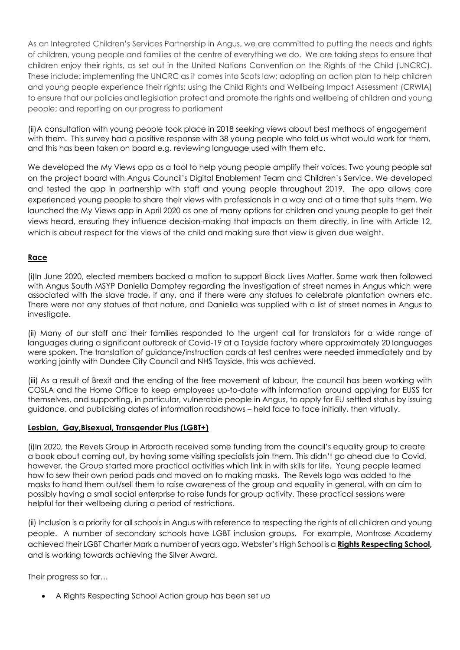As an Integrated Children's Services Partnership in Angus, we are committed to putting the needs and rights of children, young people and families at the centre of everything we do. We are taking steps to ensure that children enjoy their rights, as set out in the United Nations Convention on the Rights of the Child (UNCRC). These include: implementing the UNCRC as it comes into Scots law; adopting an action plan to help children and young people experience their rights; using the Child Rights and Wellbeing Impact Assessment (CRWIA) to ensure that our policies and legislation protect and promote the rights and wellbeing of children and young people; and reporting on our progress to parliament

(ii)A consultation with young people took place in 2018 seeking views about best methods of engagement with them. This survey had a positive response with 38 young people who told us what would work for them, and this has been taken on board e.g. reviewing language used with them etc.

We developed the My Views app as a tool to help young people amplify their voices. Two young people sat on the project board with Angus Council's Digital Enablement Team and Children's Service. We developed and tested the app in partnership with staff and young people throughout 2019. The app allows care experienced young people to share their views with professionals in a way and at a time that suits them. We launched the My Views app in April 2020 as one of many options for children and young people to get their views heard, ensuring they influence decision-making that impacts on them directly, in line with Article 12, which is about respect for the views of the child and making sure that view is given due weight.

# **Race**

(i)In June 2020, elected members backed a motion to support Black Lives Matter. Some work then followed with Angus South MSYP Daniella Damptey regarding the investigation of street names in Angus which were associated with the slave trade, if any, and if there were any statues to celebrate plantation owners etc. There were not any statues of that nature, and Daniella was supplied with a list of street names in Angus to investigate.

(ii) Many of our staff and their families responded to the urgent call for translators for a wide range of languages during a significant outbreak of Covid-19 at a Tayside factory where approximately 20 languages were spoken. The translation of guidance/instruction cards at test centres were needed immediately and by working jointly with Dundee City Council and NHS Tayside, this was achieved.

(iii) As a result of Brexit and the ending of the free movement of labour, the council has been working with COSLA and the Home Office to keep employees up-to-date with information around applying for EUSS for themselves, and supporting, in particular, vulnerable people in Angus, to apply for EU settled status by issuing guidance, and publicising dates of information roadshows – held face to face initially, then virtually.

# **Lesbian, Gay,Bisexual, Transgender Plus (LGBT+)**

(i)In 2020, the Revels Group in Arbroath received some funding from the council's equality group to create a book about coming out, by having some visiting specialists join them. This didn't go ahead due to Covid, however, the Group started more practical activities which link in with skills for life. Young people learned how to sew their own period pads and moved on to making masks. The Revels logo was added to the masks to hand them out/sell them to raise awareness of the group and equality in general, with an aim to possibly having a small social enterprise to raise funds for group activity. These practical sessions were helpful for their wellbeing during a period of restrictions.

(ii) Inclusion is a priority for all schools in Angus with reference to respecting the rights of all children and young people. A number of secondary schools have LGBT inclusion groups. For example, Montrose Academy achieved their LGBT Charter Mark a number of years ago. Webster's High School is a **[Rights Respecting School,](https://www.unicef.org.uk/rights-respecting-schools/)** and is working towards achieving the Silver Award.

Their progress so far…

• A Rights Respecting School Action group has been set up